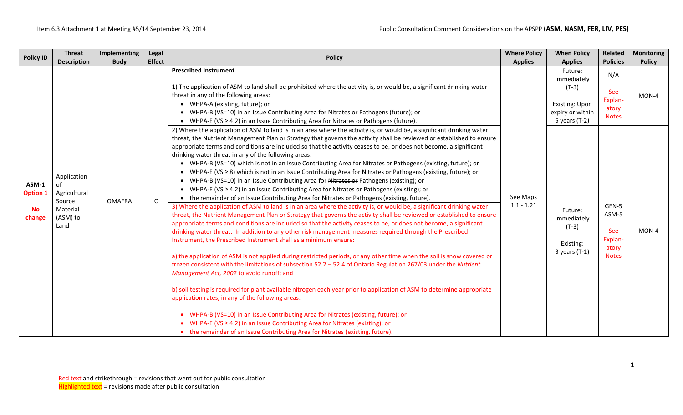| <b>Policy ID</b>                                | <b>Threat</b><br><b>Description</b>                                         | Implementing<br><b>Body</b> | Legal<br><b>Effect</b> | <b>Policy</b>                                                                                                                                                                                                                                                                                                                                                                                                                                                                                                                                                                                                                                                                                                                                                                                                                                                                                                                                                                                                                                                                                                                                                                                                                                                                                                                                                                                                                                                                                                                                                                                                                                                                                                                                                                                                                                                                                                                                                                                                                                                                                                                          | <b>Where Policy</b><br><b>Applies</b> | <b>When Policy</b><br><b>Applies</b>                                                            | Related<br><b>Policies</b>                                | <b>Monitoring</b><br><b>Policy</b> |
|-------------------------------------------------|-----------------------------------------------------------------------------|-----------------------------|------------------------|----------------------------------------------------------------------------------------------------------------------------------------------------------------------------------------------------------------------------------------------------------------------------------------------------------------------------------------------------------------------------------------------------------------------------------------------------------------------------------------------------------------------------------------------------------------------------------------------------------------------------------------------------------------------------------------------------------------------------------------------------------------------------------------------------------------------------------------------------------------------------------------------------------------------------------------------------------------------------------------------------------------------------------------------------------------------------------------------------------------------------------------------------------------------------------------------------------------------------------------------------------------------------------------------------------------------------------------------------------------------------------------------------------------------------------------------------------------------------------------------------------------------------------------------------------------------------------------------------------------------------------------------------------------------------------------------------------------------------------------------------------------------------------------------------------------------------------------------------------------------------------------------------------------------------------------------------------------------------------------------------------------------------------------------------------------------------------------------------------------------------------------|---------------------------------------|-------------------------------------------------------------------------------------------------|-----------------------------------------------------------|------------------------------------|
|                                                 |                                                                             |                             |                        | <b>Prescribed Instrument</b><br>1) The application of ASM to land shall be prohibited where the activity is, or would be, a significant drinking water<br>threat in any of the following areas:<br>• WHPA-A (existing, future); or<br>• WHPA-B (VS=10) in an Issue Contributing Area for Nitrates or Pathogens (future); or<br>• WHPA-E (VS $\geq$ 4.2) in an Issue Contributing Area for Nitrates or Pathogens (future).<br>2) Where the application of ASM to land is in an area where the activity is, or would be, a significant drinking water                                                                                                                                                                                                                                                                                                                                                                                                                                                                                                                                                                                                                                                                                                                                                                                                                                                                                                                                                                                                                                                                                                                                                                                                                                                                                                                                                                                                                                                                                                                                                                                    |                                       | Future:<br>Immediately<br>$(T-3)$<br><b>Existing: Upon</b><br>expiry or within<br>5 years (T-2) | N/A<br>See<br>Explan-<br>atory<br><b>Notes</b>            | MON-4                              |
| ASM-1<br><b>Option 1</b><br><b>No</b><br>change | Application<br>of<br>Agricultural<br>Source<br>Material<br>(ASM) to<br>Land | <b>OMAFRA</b>               | $\mathsf{C}$           | threat, the Nutrient Management Plan or Strategy that governs the activity shall be reviewed or established to ensure<br>appropriate terms and conditions are included so that the activity ceases to be, or does not become, a significant<br>drinking water threat in any of the following areas:<br>• WHPA-B (VS=10) which is not in an Issue Contributing Area for Nitrates or Pathogens (existing, future); or<br>• WHPA-E (VS $\geq$ 8) which is not in an Issue Contributing Area for Nitrates or Pathogens (existing, future); or<br>• WHPA-B (VS=10) in an Issue Contributing Area for Nitrates or Pathogens (existing); or<br>• WHPA-E (VS $\geq$ 4.2) in an Issue Contributing Area for Nitrates or Pathogens (existing); or<br>• the remainder of an Issue Contributing Area for Nitrates or Pathogens (existing, future).<br>3) Where the application of ASM to land is in an area where the activity is, or would be, a significant drinking water<br>threat, the Nutrient Management Plan or Strategy that governs the activity shall be reviewed or established to ensure<br>appropriate terms and conditions are included so that the activity ceases to be, or does not become, a significant<br>drinking water threat. In addition to any other risk management measures required through the Prescribed<br>Instrument, the Prescribed Instrument shall as a minimum ensure:<br>a) the application of ASM is not applied during restricted periods, or any other time when the soil is snow covered or<br>frozen consistent with the limitations of subsection 52.2 - 52.4 of Ontario Regulation 267/03 under the Nutrient<br>Management Act, 2002 to avoid runoff; and<br>b) soil testing is required for plant available nitrogen each year prior to application of ASM to determine appropriate<br>application rates, in any of the following areas:<br>• WHPA-B (VS=10) in an Issue Contributing Area for Nitrates (existing, future); or<br>WHPA-E (VS $\geq$ 4.2) in an Issue Contributing Area for Nitrates (existing); or<br>• the remainder of an Issue Contributing Area for Nitrates (existing, future). | See Maps<br>$1.1 - 1.21$              | Future:<br>Immediately<br>$(T-3)$<br>Existing:<br>$3$ years (T-1)                               | GEN-5<br>ASM-5<br>See<br>Explan-<br>atory<br><b>Notes</b> | MON-4                              |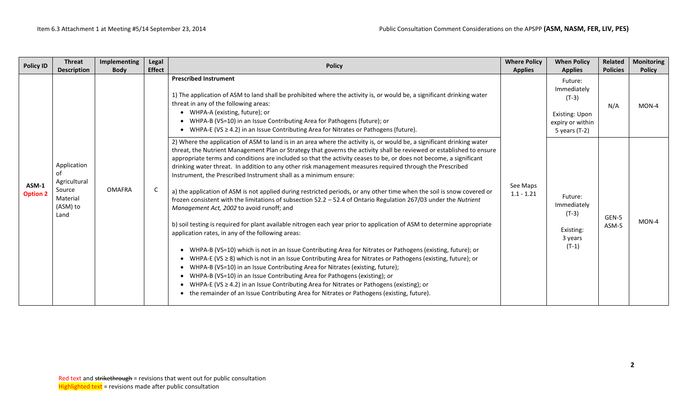| <b>Policy ID</b>         | <b>Threat</b>                                                               | Implementing  | Legal<br><b>Effect</b> | <b>Policy</b>                                                                                                                                                                                                                                                                                                                                                                                                                                                                                                                                                                                                                                                                                                                                                                                                                                                                                                                                                                                                                                                                                                                                                                                                                                                                                                                                                                                                                                                                                                                                                                                                                         | <b>Where Policy</b>      | <b>When Policy</b>                                                                         | Related         | <b>Monitoring</b> |
|--------------------------|-----------------------------------------------------------------------------|---------------|------------------------|---------------------------------------------------------------------------------------------------------------------------------------------------------------------------------------------------------------------------------------------------------------------------------------------------------------------------------------------------------------------------------------------------------------------------------------------------------------------------------------------------------------------------------------------------------------------------------------------------------------------------------------------------------------------------------------------------------------------------------------------------------------------------------------------------------------------------------------------------------------------------------------------------------------------------------------------------------------------------------------------------------------------------------------------------------------------------------------------------------------------------------------------------------------------------------------------------------------------------------------------------------------------------------------------------------------------------------------------------------------------------------------------------------------------------------------------------------------------------------------------------------------------------------------------------------------------------------------------------------------------------------------|--------------------------|--------------------------------------------------------------------------------------------|-----------------|-------------------|
|                          | <b>Description</b>                                                          | <b>Body</b>   |                        |                                                                                                                                                                                                                                                                                                                                                                                                                                                                                                                                                                                                                                                                                                                                                                                                                                                                                                                                                                                                                                                                                                                                                                                                                                                                                                                                                                                                                                                                                                                                                                                                                                       | <b>Applies</b>           | <b>Applies</b>                                                                             | <b>Policies</b> | <b>Policy</b>     |
|                          |                                                                             |               |                        | <b>Prescribed Instrument</b><br>1) The application of ASM to land shall be prohibited where the activity is, or would be, a significant drinking water<br>threat in any of the following areas:<br>• WHPA-A (existing, future); or<br>• WHPA-B (VS=10) in an Issue Contributing Area for Pathogens (future); or<br>• WHPA-E (VS $\geq$ 4.2) in an Issue Contributing Area for Nitrates or Pathogens (future).                                                                                                                                                                                                                                                                                                                                                                                                                                                                                                                                                                                                                                                                                                                                                                                                                                                                                                                                                                                                                                                                                                                                                                                                                         |                          | Future:<br>Immediately<br>$(T-3)$<br>Existing: Upon<br>expiry or within<br>5 years $(T-2)$ | N/A             | MON-4             |
| ASM-1<br><b>Option 2</b> | Application<br>Ωf<br>Agricultural<br>Source<br>Material<br>(ASM) to<br>Land | <b>OMAFRA</b> | C                      | 2) Where the application of ASM to land is in an area where the activity is, or would be, a significant drinking water<br>threat, the Nutrient Management Plan or Strategy that governs the activity shall be reviewed or established to ensure<br>appropriate terms and conditions are included so that the activity ceases to be, or does not become, a significant<br>drinking water threat. In addition to any other risk management measures required through the Prescribed<br>Instrument, the Prescribed Instrument shall as a minimum ensure:<br>a) the application of ASM is not applied during restricted periods, or any other time when the soil is snow covered or<br>frozen consistent with the limitations of subsection 52.2 - 52.4 of Ontario Regulation 267/03 under the Nutrient<br>Management Act, 2002 to avoid runoff; and<br>b) soil testing is required for plant available nitrogen each year prior to application of ASM to determine appropriate<br>application rates, in any of the following areas:<br>• WHPA-B (VS=10) which is not in an Issue Contributing Area for Nitrates or Pathogens (existing, future); or<br>• WHPA-E (VS ≥ 8) which is not in an Issue Contributing Area for Nitrates or Pathogens (existing, future); or<br>• WHPA-B (VS=10) in an Issue Contributing Area for Nitrates (existing, future);<br>• WHPA-B (VS=10) in an Issue Contributing Area for Pathogens (existing); or<br>• WHPA-E (VS $\geq$ 4.2) in an Issue Contributing Area for Nitrates or Pathogens (existing); or<br>• the remainder of an Issue Contributing Area for Nitrates or Pathogens (existing, future). | See Maps<br>$1.1 - 1.21$ | Future:<br>Immediately<br>$(T-3)$<br>Existing:<br>3 years<br>$(T-1)$                       | GEN-5<br>ASM-5  | MON-4             |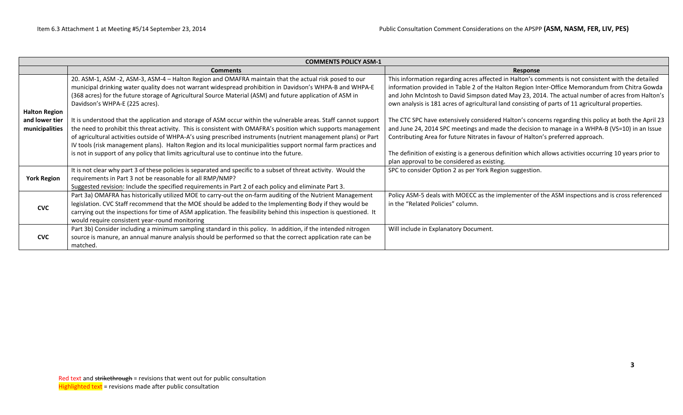|                                  | <b>COMMENTS POLICY ASM-1</b>                                                                                                                                                                                                                                                                                                                                                                                                                                                                                                                                         |                                                                                                                                                                                                                                                                                                                                                                                                                                                     |  |  |  |  |  |  |  |  |
|----------------------------------|----------------------------------------------------------------------------------------------------------------------------------------------------------------------------------------------------------------------------------------------------------------------------------------------------------------------------------------------------------------------------------------------------------------------------------------------------------------------------------------------------------------------------------------------------------------------|-----------------------------------------------------------------------------------------------------------------------------------------------------------------------------------------------------------------------------------------------------------------------------------------------------------------------------------------------------------------------------------------------------------------------------------------------------|--|--|--|--|--|--|--|--|
|                                  | <b>Comments</b>                                                                                                                                                                                                                                                                                                                                                                                                                                                                                                                                                      | Response                                                                                                                                                                                                                                                                                                                                                                                                                                            |  |  |  |  |  |  |  |  |
| <b>Halton Region</b>             | 20. ASM-1, ASM -2, ASM-3, ASM-4 - Halton Region and OMAFRA maintain that the actual risk posed to our<br>municipal drinking water quality does not warrant widespread prohibition in Davidson's WHPA-B and WHPA-E<br>(368 acres) for the future storage of Agricultural Source Material (ASM) and future application of ASM in<br>Davidson's WHPA-E (225 acres).                                                                                                                                                                                                     | This information regarding acres affected in Halton's comments is not consistent with the detailed<br>information provided in Table 2 of the Halton Region Inter-Office Memorandum from Chitra Gowda<br>and John McIntosh to David Simpson dated May 23, 2014. The actual number of acres from Halton's<br>own analysis is 181 acres of agricultural land consisting of parts of 11 agricultural properties.                                        |  |  |  |  |  |  |  |  |
| and lower tier<br>municipalities | It is understood that the application and storage of ASM occur within the vulnerable areas. Staff cannot support<br>the need to prohibit this threat activity. This is consistent with OMAFRA's position which supports management<br>of agricultural activities outside of WHPA-A's using prescribed instruments (nutrient management plans) or Part<br>IV tools (risk management plans). Halton Region and its local municipalities support normal farm practices and<br>is not in support of any policy that limits agricultural use to continue into the future. | The CTC SPC have extensively considered Halton's concerns regarding this policy at both the April 23<br>and June 24, 2014 SPC meetings and made the decision to manage in a WHPA-B (VS=10) in an Issue<br>Contributing Area for future Nitrates in favour of Halton's preferred approach.<br>The definition of existing is a generous definition which allows activities occurring 10 years prior to<br>plan approval to be considered as existing. |  |  |  |  |  |  |  |  |
| <b>York Region</b>               | It is not clear why part 3 of these policies is separated and specific to a subset of threat activity. Would the<br>requirements in Part 3 not be reasonable for all RMP/NMP?<br>Suggested revision: Include the specified requirements in Part 2 of each policy and eliminate Part 3.                                                                                                                                                                                                                                                                               | SPC to consider Option 2 as per York Region suggestion.                                                                                                                                                                                                                                                                                                                                                                                             |  |  |  |  |  |  |  |  |
| <b>CVC</b>                       | Part 3a) OMAFRA has historically utilized MOE to carry-out the on-farm auditing of the Nutrient Management<br>legislation. CVC Staff recommend that the MOE should be added to the Implementing Body if they would be<br>carrying out the inspections for time of ASM application. The feasibility behind this inspection is questioned. It<br>would require consistent year-round monitoring                                                                                                                                                                        | Policy ASM-5 deals with MOECC as the implementer of the ASM inspections and is cross referenced<br>in the "Related Policies" column.                                                                                                                                                                                                                                                                                                                |  |  |  |  |  |  |  |  |
| <b>CVC</b>                       | Part 3b) Consider including a minimum sampling standard in this policy. In addition, if the intended nitrogen<br>source is manure, an annual manure analysis should be performed so that the correct application rate can be<br>matched.                                                                                                                                                                                                                                                                                                                             | Will include in Explanatory Document.                                                                                                                                                                                                                                                                                                                                                                                                               |  |  |  |  |  |  |  |  |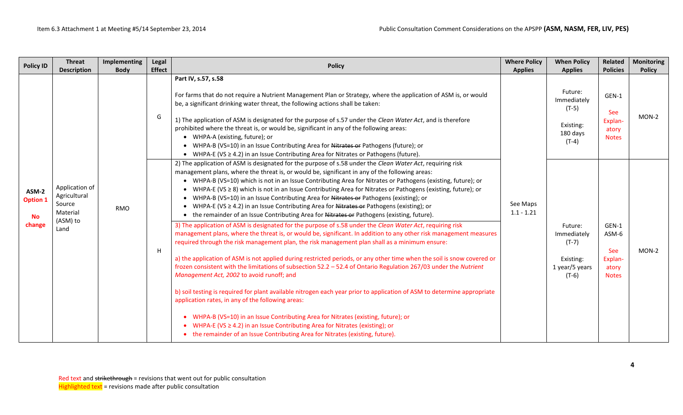| <b>Policy ID</b>                                | <b>Threat</b><br><b>Description</b>                                      | Implementing<br><b>Body</b> | Legal<br><b>Effect</b> | <b>Policy</b>                                                                                                                                                                                                                                                                                                                                                                                                                                                                                                                                                                                                                                                | <b>Where Policy</b><br><b>Applies</b>                                                                                                                                                                                                                                                                                                                                                                                                                                                                                                                                                                                                                                                                                                                   | <b>When Policy</b><br><b>Applies</b>                                  | <b>Related</b><br><b>Policies</b>                                           | <b>Monitoring</b><br><b>Policy</b>                        |         |
|-------------------------------------------------|--------------------------------------------------------------------------|-----------------------------|------------------------|--------------------------------------------------------------------------------------------------------------------------------------------------------------------------------------------------------------------------------------------------------------------------------------------------------------------------------------------------------------------------------------------------------------------------------------------------------------------------------------------------------------------------------------------------------------------------------------------------------------------------------------------------------------|---------------------------------------------------------------------------------------------------------------------------------------------------------------------------------------------------------------------------------------------------------------------------------------------------------------------------------------------------------------------------------------------------------------------------------------------------------------------------------------------------------------------------------------------------------------------------------------------------------------------------------------------------------------------------------------------------------------------------------------------------------|-----------------------------------------------------------------------|-----------------------------------------------------------------------------|-----------------------------------------------------------|---------|
| ASM-2<br><b>Option 1</b><br><b>No</b><br>change |                                                                          |                             | G                      | Part IV, s.57, s.58<br>For farms that do not require a Nutrient Management Plan or Strategy, where the application of ASM is, or would<br>be, a significant drinking water threat, the following actions shall be taken:<br>1) The application of ASM is designated for the purpose of s.57 under the Clean Water Act, and is therefore<br>prohibited where the threat is, or would be, significant in any of the following areas:<br>• WHPA-A (existing, future); or<br>• WHPA-B (VS=10) in an Issue Contributing Area for Nitrates or Pathogens (future); or<br>• WHPA-E (VS $\geq$ 4.2) in an Issue Contributing Area for Nitrates or Pathogens (future). |                                                                                                                                                                                                                                                                                                                                                                                                                                                                                                                                                                                                                                                                                                                                                         | Future:<br>Immediately<br>$(T-5)$<br>Existing:<br>180 days<br>$(T-4)$ | GEN-1<br><b>See</b><br>Explan-<br>atory<br><b>Notes</b>                     | MON-2                                                     |         |
|                                                 | Application of<br>Agricultural<br>Source<br>Material<br>(ASM) to<br>Land | <b>RMO</b>                  | H                      |                                                                                                                                                                                                                                                                                                                                                                                                                                                                                                                                                                                                                                                              | 2) The application of ASM is designated for the purpose of s.58 under the Clean Water Act, requiring risk<br>management plans, where the threat is, or would be, significant in any of the following areas:<br>• WHPA-B (VS=10) which is not in an Issue Contributing Area for Nitrates or Pathogens (existing, future); or<br>• WHPA-E (VS ≥ 8) which is not in an Issue Contributing Area for Nitrates or Pathogens (existing, future); or<br>• WHPA-B (VS=10) in an Issue Contributing Area for Nitrates or Pathogens (existing); or<br>• WHPA-E (VS ≥ 4.2) in an Issue Contributing Area for Nitrates or Pathogens (existing); or<br>• the remainder of an Issue Contributing Area for Nitrates or Pathogens (existing, future).                    | See Maps<br>$1.1 - 1.21$                                              | Future:<br>Immediately<br>$(T-7)$<br>Existing:<br>1 year/5 years<br>$(T-6)$ | GEN-1<br>ASM-6<br>See<br>Explan-<br>atory<br><b>Notes</b> | $MON-2$ |
|                                                 |                                                                          |                             |                        |                                                                                                                                                                                                                                                                                                                                                                                                                                                                                                                                                                                                                                                              | 3) The application of ASM is designated for the purpose of s.58 under the Clean Water Act, requiring risk<br>management plans, where the threat is, or would be, significant. In addition to any other risk management measures<br>required through the risk management plan, the risk management plan shall as a minimum ensure:<br>a) the application of ASM is not applied during restricted periods, or any other time when the soil is snow covered or<br>frozen consistent with the limitations of subsection 52.2 - 52.4 of Ontario Regulation 267/03 under the Nutrient<br>Management Act, 2002 to avoid runoff; and<br>b) soil testing is required for plant available nitrogen each year prior to application of ASM to determine appropriate |                                                                       |                                                                             |                                                           |         |
|                                                 |                                                                          |                             |                        | application rates, in any of the following areas:<br>• WHPA-B (VS=10) in an Issue Contributing Area for Nitrates (existing, future); or<br>• WHPA-E (VS $\geq$ 4.2) in an Issue Contributing Area for Nitrates (existing); or<br>• the remainder of an Issue Contributing Area for Nitrates (existing, future).                                                                                                                                                                                                                                                                                                                                              |                                                                                                                                                                                                                                                                                                                                                                                                                                                                                                                                                                                                                                                                                                                                                         |                                                                       |                                                                             |                                                           |         |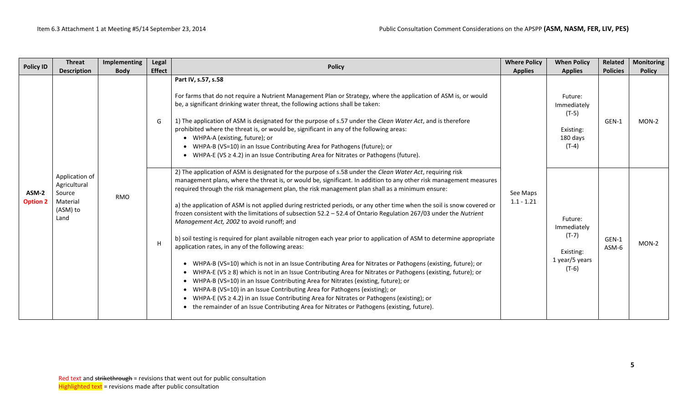| <b>Policy ID</b>         | <b>Threat</b>                                                            | Implementing                      | Legal | <b>Policy</b>                                                                                                                                                                                                                                                                                                                                                                                                                                                                                                                                                                                                                                                                                                                                                                                                                                                                                                                                                                                                                                                                                                                                                                                                                                                                                                                                                                                                             | <b>Where Policy</b>      | <b>When Policy</b>                                                          | Related<br><b>Policies</b> | <b>Monitoring</b>                                                                                                                                                                                                        |                |                                                     |  |               |
|--------------------------|--------------------------------------------------------------------------|-----------------------------------|-------|---------------------------------------------------------------------------------------------------------------------------------------------------------------------------------------------------------------------------------------------------------------------------------------------------------------------------------------------------------------------------------------------------------------------------------------------------------------------------------------------------------------------------------------------------------------------------------------------------------------------------------------------------------------------------------------------------------------------------------------------------------------------------------------------------------------------------------------------------------------------------------------------------------------------------------------------------------------------------------------------------------------------------------------------------------------------------------------------------------------------------------------------------------------------------------------------------------------------------------------------------------------------------------------------------------------------------------------------------------------------------------------------------------------------------|--------------------------|-----------------------------------------------------------------------------|----------------------------|--------------------------------------------------------------------------------------------------------------------------------------------------------------------------------------------------------------------------|----------------|-----------------------------------------------------|--|---------------|
|                          |                                                                          | <b>Description</b><br><b>Body</b> |       |                                                                                                                                                                                                                                                                                                                                                                                                                                                                                                                                                                                                                                                                                                                                                                                                                                                                                                                                                                                                                                                                                                                                                                                                                                                                                                                                                                                                                           |                          |                                                                             | <b>Effect</b>              | Part IV, s.57, s.58<br>For farms that do not require a Nutrient Management Plan or Strategy, where the application of ASM is, or would<br>be, a significant drinking water threat, the following actions shall be taken: | <b>Applies</b> | <b>Applies</b><br>Future:<br>Immediately<br>$(T-5)$ |  | <b>Policy</b> |
|                          |                                                                          |                                   | G     | 1) The application of ASM is designated for the purpose of s.57 under the Clean Water Act, and is therefore<br>prohibited where the threat is, or would be, significant in any of the following areas:<br>• WHPA-A (existing, future); or<br>• WHPA-B (VS=10) in an Issue Contributing Area for Pathogens (future); or<br>• WHPA-E (VS $\geq$ 4.2) in an Issue Contributing Area for Nitrates or Pathogens (future).                                                                                                                                                                                                                                                                                                                                                                                                                                                                                                                                                                                                                                                                                                                                                                                                                                                                                                                                                                                                      |                          | Existing:<br>180 days<br>$(T-4)$                                            | GEN-1                      | $MON-2$                                                                                                                                                                                                                  |                |                                                     |  |               |
| ASM-2<br><b>Option 2</b> | Application of<br>Agricultural<br>Source<br>Material<br>(ASM) to<br>Land | <b>RMO</b>                        | H     | 2) The application of ASM is designated for the purpose of s.58 under the Clean Water Act, requiring risk<br>management plans, where the threat is, or would be, significant. In addition to any other risk management measures<br>required through the risk management plan, the risk management plan shall as a minimum ensure:<br>a) the application of ASM is not applied during restricted periods, or any other time when the soil is snow covered or<br>frozen consistent with the limitations of subsection 52.2 - 52.4 of Ontario Regulation 267/03 under the Nutrient<br>Management Act, 2002 to avoid runoff; and<br>b) soil testing is required for plant available nitrogen each year prior to application of ASM to determine appropriate<br>application rates, in any of the following areas:<br>• WHPA-B (VS=10) which is not in an Issue Contributing Area for Nitrates or Pathogens (existing, future); or<br>• WHPA-E (VS $\geq$ 8) which is not in an Issue Contributing Area for Nitrates or Pathogens (existing, future); or<br>• WHPA-B (VS=10) in an Issue Contributing Area for Nitrates (existing, future); or<br>• WHPA-B (VS=10) in an Issue Contributing Area for Pathogens (existing); or<br>• WHPA-E (VS $\geq$ 4.2) in an Issue Contributing Area for Nitrates or Pathogens (existing); or<br>• the remainder of an Issue Contributing Area for Nitrates or Pathogens (existing, future). | See Maps<br>$1.1 - 1.21$ | Future:<br>Immediately<br>$(T-7)$<br>Existing:<br>1 year/5 years<br>$(T-6)$ | GEN-1<br>ASM-6             | MON-2                                                                                                                                                                                                                    |                |                                                     |  |               |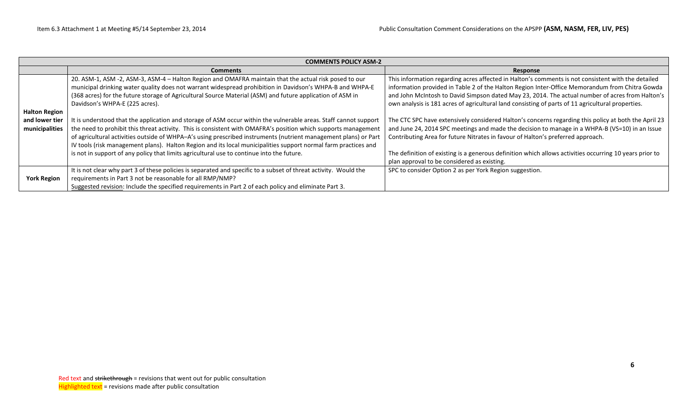|                      | <b>COMMENTS POLICY ASM-2</b>                                                                                     |                                                                                                         |  |  |  |  |  |  |  |  |
|----------------------|------------------------------------------------------------------------------------------------------------------|---------------------------------------------------------------------------------------------------------|--|--|--|--|--|--|--|--|
|                      | <b>Comments</b>                                                                                                  | Response                                                                                                |  |  |  |  |  |  |  |  |
|                      | 20. ASM-1, ASM -2, ASM-3, ASM-4 - Halton Region and OMAFRA maintain that the actual risk posed to our            | This information regarding acres affected in Halton's comments is not consistent with the detailed      |  |  |  |  |  |  |  |  |
|                      | municipal drinking water quality does not warrant widespread prohibition in Davidson's WHPA-B and WHPA-E         | information provided in Table 2 of the Halton Region Inter-Office Memorandum from Chitra Gowda          |  |  |  |  |  |  |  |  |
|                      | (368 acres) for the future storage of Agricultural Source Material (ASM) and future application of ASM in        | and John McIntosh to David Simpson dated May 23, 2014. The actual number of acres from Halton's         |  |  |  |  |  |  |  |  |
|                      | Davidson's WHPA-E (225 acres).                                                                                   | own analysis is 181 acres of agricultural land consisting of parts of 11 agricultural properties.       |  |  |  |  |  |  |  |  |
| <b>Halton Region</b> |                                                                                                                  |                                                                                                         |  |  |  |  |  |  |  |  |
| and lower tier       | It is understood that the application and storage of ASM occur within the vulnerable areas. Staff cannot support | The CTC SPC have extensively considered Halton's concerns regarding this policy at both the April 23    |  |  |  |  |  |  |  |  |
| municipalities       | the need to prohibit this threat activity. This is consistent with OMAFRA's position which supports management   | and June 24, 2014 SPC meetings and made the decision to manage in a WHPA-B (VS=10) in an Issue          |  |  |  |  |  |  |  |  |
|                      | of agricultural activities outside of WHPA-A's using prescribed instruments (nutrient management plans) or Part  | Contributing Area for future Nitrates in favour of Halton's preferred approach.                         |  |  |  |  |  |  |  |  |
|                      | IV tools (risk management plans). Halton Region and its local municipalities support normal farm practices and   |                                                                                                         |  |  |  |  |  |  |  |  |
|                      | is not in support of any policy that limits agricultural use to continue into the future.                        | The definition of existing is a generous definition which allows activities occurring 10 years prior to |  |  |  |  |  |  |  |  |
|                      |                                                                                                                  | plan approval to be considered as existing.                                                             |  |  |  |  |  |  |  |  |
|                      | It is not clear why part 3 of these policies is separated and specific to a subset of threat activity. Would the | SPC to consider Option 2 as per York Region suggestion.                                                 |  |  |  |  |  |  |  |  |
| <b>York Region</b>   | requirements in Part 3 not be reasonable for all RMP/NMP?                                                        |                                                                                                         |  |  |  |  |  |  |  |  |
|                      | Suggested revision: Include the specified requirements in Part 2 of each policy and eliminate Part 3.            |                                                                                                         |  |  |  |  |  |  |  |  |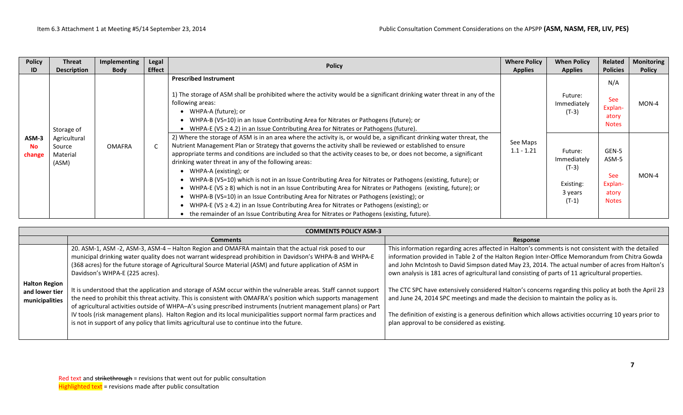| <b>Policy</b><br>ID    | <b>Threat</b><br><b>Description</b>         | Implementing<br><b>Body</b> | Legal<br><b>Effect</b> | <b>Policy</b>                                                                                                                                                                                                                                                                                                                                                                                                                                                                                                                                                                                                                                                                                                                                                                                                                                                                                                                                                             | <b>Where Policy</b><br><b>Applies</b> | <b>When Policy</b><br><b>Applies</b>                                 | Related<br><b>Policies</b>                                | <b>Monitoring</b><br><b>Policy</b> |
|------------------------|---------------------------------------------|-----------------------------|------------------------|---------------------------------------------------------------------------------------------------------------------------------------------------------------------------------------------------------------------------------------------------------------------------------------------------------------------------------------------------------------------------------------------------------------------------------------------------------------------------------------------------------------------------------------------------------------------------------------------------------------------------------------------------------------------------------------------------------------------------------------------------------------------------------------------------------------------------------------------------------------------------------------------------------------------------------------------------------------------------|---------------------------------------|----------------------------------------------------------------------|-----------------------------------------------------------|------------------------------------|
|                        | Storage of                                  |                             |                        | <b>Prescribed Instrument</b><br>1) The storage of ASM shall be prohibited where the activity would be a significant drinking water threat in any of the<br>following areas:<br>• WHPA-A (future); or<br>• WHPA-B (VS=10) in an Issue Contributing Area for Nitrates or Pathogens (future); or<br>• WHPA-E (VS $\geq$ 4.2) in an Issue Contributing Area for Nitrates or Pathogens (future).                                                                                                                                                                                                                                                                                                                                                                                                                                                                                                                                                                               |                                       | Future:<br>Immediately<br>$(T-3)$                                    | N/A<br><b>See</b><br>Explan-<br>atory<br><b>Notes</b>     | $MON-4$                            |
| ASM-3<br>No.<br>change | Agricultural<br>Source<br>Material<br>(ASM) | <b>OMAFRA</b>               |                        | 2) Where the storage of ASM is in an area where the activity is, or would be, a significant drinking water threat, the<br>Nutrient Management Plan or Strategy that governs the activity shall be reviewed or established to ensure<br>appropriate terms and conditions are included so that the activity ceases to be, or does not become, a significant<br>drinking water threat in any of the following areas:<br>• WHPA-A (existing); or<br>• WHPA-B (VS=10) which is not in an Issue Contributing Area for Nitrates or Pathogens (existing, future); or<br>WHPA-E (VS $\geq$ 8) which is not in an Issue Contributing Area for Nitrates or Pathogens (existing, future); or<br>WHPA-B (VS=10) in an Issue Contributing Area for Nitrates or Pathogens (existing); or<br>WHPA-E (VS $\geq$ 4.2) in an Issue Contributing Area for Nitrates or Pathogens (existing); or<br>• the remainder of an Issue Contributing Area for Nitrates or Pathogens (existing, future). | See Maps<br>$1.1 - 1.21$              | Future:<br>Immediately<br>$(T-3)$<br>Existing:<br>3 years<br>$(T-1)$ | GEN-5<br>ASM-5<br>See<br>Explan-<br>atory<br><b>Notes</b> | $MON-4$                            |

|                                  | <b>COMMENTS POLICY ASM-3</b>                                                                                                                                                                                                                                                                                                                                                                                                                                                                                                                                         |                                                                                                                                                                                                                                                                                                                                                                                                              |  |  |  |  |  |  |  |  |
|----------------------------------|----------------------------------------------------------------------------------------------------------------------------------------------------------------------------------------------------------------------------------------------------------------------------------------------------------------------------------------------------------------------------------------------------------------------------------------------------------------------------------------------------------------------------------------------------------------------|--------------------------------------------------------------------------------------------------------------------------------------------------------------------------------------------------------------------------------------------------------------------------------------------------------------------------------------------------------------------------------------------------------------|--|--|--|--|--|--|--|--|
|                                  | <b>Comments</b>                                                                                                                                                                                                                                                                                                                                                                                                                                                                                                                                                      | Response                                                                                                                                                                                                                                                                                                                                                                                                     |  |  |  |  |  |  |  |  |
| <b>Halton Region</b>             | 20. ASM-1, ASM -2, ASM-3, ASM-4 - Halton Region and OMAFRA maintain that the actual risk posed to our<br>municipal drinking water quality does not warrant widespread prohibition in Davidson's WHPA-B and WHPA-E<br>(368 acres) for the future storage of Agricultural Source Material (ASM) and future application of ASM in<br>Davidson's WHPA-E (225 acres).                                                                                                                                                                                                     | This information regarding acres affected in Halton's comments is not consistent with the detailed<br>information provided in Table 2 of the Halton Region Inter-Office Memorandum from Chitra Gowda<br>and John McIntosh to David Simpson dated May 23, 2014. The actual number of acres from Halton's<br>own analysis is 181 acres of agricultural land consisting of parts of 11 agricultural properties. |  |  |  |  |  |  |  |  |
| and lower tier<br>municipalities | It is understood that the application and storage of ASM occur within the vulnerable areas. Staff cannot support<br>the need to prohibit this threat activity. This is consistent with OMAFRA's position which supports management<br>of agricultural activities outside of WHPA-A's using prescribed instruments (nutrient management plans) or Part<br>IV tools (risk management plans). Halton Region and its local municipalities support normal farm practices and<br>is not in support of any policy that limits agricultural use to continue into the future. | The CTC SPC have extensively considered Halton's concerns regarding this policy at both the April 23<br>and June 24, 2014 SPC meetings and made the decision to maintain the policy as is.<br>The definition of existing is a generous definition which allows activities occurring 10 years prior to<br>plan approval to be considered as existing.                                                         |  |  |  |  |  |  |  |  |
|                                  |                                                                                                                                                                                                                                                                                                                                                                                                                                                                                                                                                                      |                                                                                                                                                                                                                                                                                                                                                                                                              |  |  |  |  |  |  |  |  |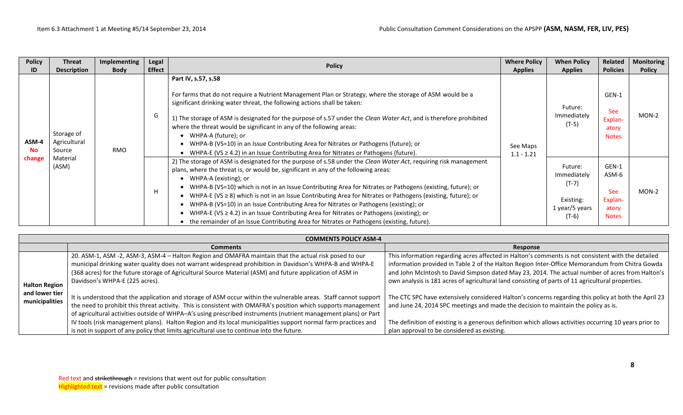| <b>Policy</b><br>ID          | <b>Threat</b><br><b>Description</b>                       | Implementing<br><b>Body</b> | Legal<br><b>Effect</b> | <b>Policy</b>                                                                                                                                                                                                                                                                                                                                                                                                                                                                                                                                                                                                                                                                                                                                                     | <b>Where Policy</b><br><b>Applies</b> | <b>When Policy</b><br><b>Applies</b>                                        | Related<br><b>Policies</b>                                | <b>Monitoring</b><br><b>Policy</b> |
|------------------------------|-----------------------------------------------------------|-----------------------------|------------------------|-------------------------------------------------------------------------------------------------------------------------------------------------------------------------------------------------------------------------------------------------------------------------------------------------------------------------------------------------------------------------------------------------------------------------------------------------------------------------------------------------------------------------------------------------------------------------------------------------------------------------------------------------------------------------------------------------------------------------------------------------------------------|---------------------------------------|-----------------------------------------------------------------------------|-----------------------------------------------------------|------------------------------------|
| ASM-4<br><b>No</b><br>change | Storage of<br>Agricultural<br>Source<br>Material<br>(ASM) | G<br><b>RMO</b><br>H        |                        | Part IV, s.57, s.58<br>For farms that do not require a Nutrient Management Plan or Strategy, where the storage of ASM would be a<br>significant drinking water threat, the following actions shall be taken:<br>1) The storage of ASM is designated for the purpose of s.57 under the Clean Water Act, and is therefore prohibited<br>where the threat would be significant in any of the following areas:<br>• WHPA-A (future); or<br>WHPA-B (VS=10) in an Issue Contributing Area for Nitrates or Pathogens (future); or<br>WHPA-E (VS $\geq$ 4.2) in an Issue Contributing Area for Nitrates or Pathogens (future).                                                                                                                                            | See Maps<br>$1.1 - 1.21$              | Future:<br>Immediately<br>$(T-5)$                                           | GEN-1<br>See<br>Explan-<br>atory<br><b>Notes</b>          | $MON-2$                            |
|                              |                                                           |                             |                        | 2) The storage of ASM is designated for the purpose of s.58 under the Clean Water Act, requiring risk management<br>plans, where the threat is, or would be, significant in any of the following areas:<br>• WHPA-A (existing); or<br>WHPA-B (VS=10) which is not in an Issue Contributing Area for Nitrates or Pathogens (existing, future); or<br>WHPA-E (VS $\geq$ 8) which is not in an Issue Contributing Area for Nitrates or Pathogens (existing, future); or<br>• WHPA-B (VS=10) in an Issue Contributing Area for Nitrates or Pathogens (existing); or<br>• WHPA-E (VS $\geq$ 4.2) in an Issue Contributing Area for Nitrates or Pathogens (existing); or<br>• the remainder of an Issue Contributing Area for Nitrates or Pathogens (existing, future). |                                       | Future:<br>Immediately<br>$(T-7)$<br>Existing:<br>1 year/5 years<br>$(T-6)$ | GEN-1<br>ASM-6<br>See<br>Explan-<br>atory<br><b>Notes</b> | MON-2                              |

|                                  | <b>COMMENTS POLICY ASM-4</b>                                                                                                                                                                                                                                                                                                                                     |                                                                                                                                                                                                                                                                                                                                                                                                              |  |  |  |  |  |  |  |  |
|----------------------------------|------------------------------------------------------------------------------------------------------------------------------------------------------------------------------------------------------------------------------------------------------------------------------------------------------------------------------------------------------------------|--------------------------------------------------------------------------------------------------------------------------------------------------------------------------------------------------------------------------------------------------------------------------------------------------------------------------------------------------------------------------------------------------------------|--|--|--|--|--|--|--|--|
|                                  | <b>Comments</b>                                                                                                                                                                                                                                                                                                                                                  | Response                                                                                                                                                                                                                                                                                                                                                                                                     |  |  |  |  |  |  |  |  |
| <b>Halton Region</b>             | 20. ASM-1, ASM -2, ASM-3, ASM-4 - Halton Region and OMAFRA maintain that the actual risk posed to our<br>municipal drinking water quality does not warrant widespread prohibition in Davidson's WHPA-B and WHPA-E<br>(368 acres) for the future storage of Agricultural Source Material (ASM) and future application of ASM in<br>Davidson's WHPA-E (225 acres). | This information regarding acres affected in Halton's comments is not consistent with the detailed<br>information provided in Table 2 of the Halton Region Inter-Office Memorandum from Chitra Gowda<br>and John McIntosh to David Simpson dated May 23, 2014. The actual number of acres from Halton's<br>own analysis is 181 acres of agricultural land consisting of parts of 11 agricultural properties. |  |  |  |  |  |  |  |  |
| and lower tier<br>municipalities | It is understood that the application and storage of ASM occur within the vulnerable areas. Staff cannot support<br>the need to prohibit this threat activity. This is consistent with OMAFRA's position which supports management<br>of agricultural activities outside of WHPA-A's using prescribed instruments (nutrient management plans) or Part            | The CTC SPC have extensively considered Halton's concerns regarding this policy at both the April 23<br>and June 24, 2014 SPC meetings and made the decision to maintain the policy as is.                                                                                                                                                                                                                   |  |  |  |  |  |  |  |  |
|                                  | IV tools (risk management plans). Halton Region and its local municipalities support normal farm practices and<br>is not in support of any policy that limits agricultural use to continue into the future.                                                                                                                                                      | The definition of existing is a generous definition which allows activities occurring 10 years prior to<br>plan approval to be considered as existing.                                                                                                                                                                                                                                                       |  |  |  |  |  |  |  |  |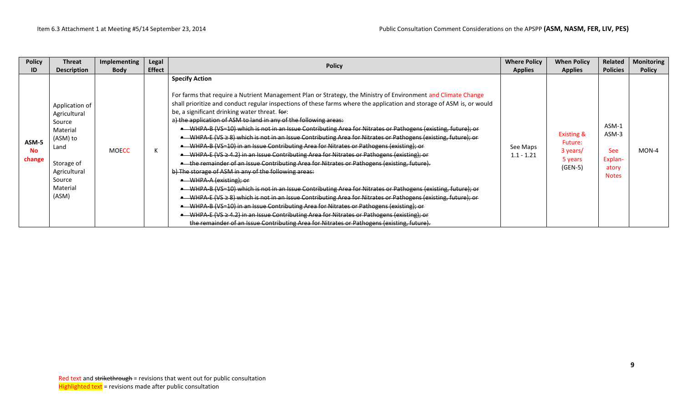| <b>Policy</b>                | <b>Threat</b>                                                                                                                         | <b>Implementing</b> | Legal         |                                                                                                                                                                                                                                                                                                                                                                                                                                                                                                                                                                                                                                                                                                                                                                                                                                                                                                                                                                                                                                                                                                                                                                                                                                                                                                                                                                                                                                                                                                                     | <b>Where Policy</b>      | <b>When Policy</b>                                                   | Related                                                          | <b>Monitoring</b> |
|------------------------------|---------------------------------------------------------------------------------------------------------------------------------------|---------------------|---------------|---------------------------------------------------------------------------------------------------------------------------------------------------------------------------------------------------------------------------------------------------------------------------------------------------------------------------------------------------------------------------------------------------------------------------------------------------------------------------------------------------------------------------------------------------------------------------------------------------------------------------------------------------------------------------------------------------------------------------------------------------------------------------------------------------------------------------------------------------------------------------------------------------------------------------------------------------------------------------------------------------------------------------------------------------------------------------------------------------------------------------------------------------------------------------------------------------------------------------------------------------------------------------------------------------------------------------------------------------------------------------------------------------------------------------------------------------------------------------------------------------------------------|--------------------------|----------------------------------------------------------------------|------------------------------------------------------------------|-------------------|
| ID                           | <b>Description</b>                                                                                                                    | <b>Body</b>         | <b>Effect</b> | <b>Policy</b>                                                                                                                                                                                                                                                                                                                                                                                                                                                                                                                                                                                                                                                                                                                                                                                                                                                                                                                                                                                                                                                                                                                                                                                                                                                                                                                                                                                                                                                                                                       | <b>Applies</b>           | <b>Applies</b>                                                       | <b>Policies</b>                                                  | <b>Policy</b>     |
| ASM-5<br><b>No</b><br>change | Application of<br>Agricultural<br>Source<br>Material<br>(ASM) to<br>Land<br>Storage of<br>Agricultural<br>Source<br>Material<br>(ASM) | <b>MOECC</b>        |               | <b>Specify Action</b><br>For farms that require a Nutrient Management Plan or Strategy, the Ministry of Environment and Climate Change<br>shall prioritize and conduct regular inspections of these farms where the application and storage of ASM is, or would<br>be, a significant drinking water threat. for:<br>a) the application of ASM to land in any of the following areas:<br>WHPA B (VS=10) which is not in an Issue Contributing Area for Nitrates or Pathogens (existing, future); or<br>WHPA E (VS $\geq$ 8) which is not in an Issue Contributing Area for Nitrates or Pathogens (existing, future); or<br>WHPA B (VS=10) in an Issue Contributing Area for Nitrates or Pathogens (existing); or<br>• WHPA E (VS ≥ 4.2) in an Issue Contributing Area for Nitrates or Pathogens (existing); or<br>• the remainder of an Issue Contributing Area for Nitrates or Pathogens (existing, future).<br>b) The storage of ASM in any of the following areas:<br>• WHPA-A (existing); or<br>WHPA B (VS=10) which is not in an Issue Contributing Area for Nitrates or Pathogens (existing, future); or<br>WHPA E (VS $\geq$ 8) which is not in an Issue Contributing Area for Nitrates or Pathogens (existing, future); or<br>WHPA B (VS=10) in an Issue Contributing Area for Nitrates or Pathogens (existing); or<br>WHPA E (VS ≥ 4.2) in an Issue Contributing Area for Nitrates or Pathogens (existing); or<br>the remainder of an Issue Contributing Area for Nitrates or Pathogens (existing, future). | See Maps<br>$1.1 - 1.21$ | <b>Existing &amp;</b><br>Future:<br>3 years/<br>5 years<br>$(GEN-5)$ | ASM-1<br>ASM-3<br><b>See</b><br>Explan-<br>atory<br><b>Notes</b> | MON-4             |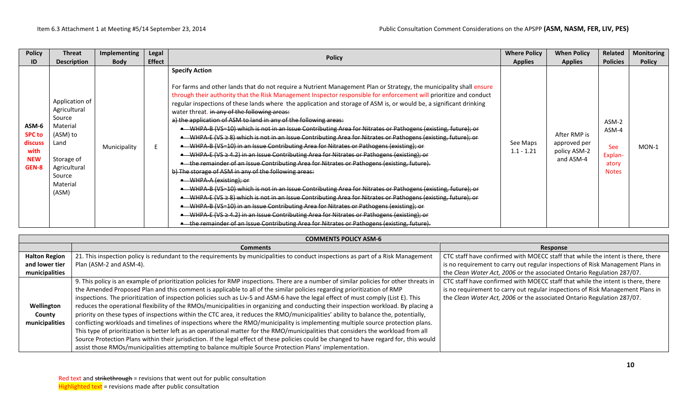| <b>Policy</b>                                                    | <b>Threat</b>                                                                                                                         | <b>Implementing</b> | Legal         | <b>Policy</b>                                                                                                                                                                                                                                                                                                                                                                                                                                                                                                                                                                                                                                                                                                                                                                                                                                                                                                                                                                                                                                                                                                                                                                                                                                                                                                                                                                                                                                                                                                                                                                                                                                    | <b>Where Policy</b>      | <b>When Policy</b>                                        | <b>Related</b>                                                   | <b>Monitoring</b> |
|------------------------------------------------------------------|---------------------------------------------------------------------------------------------------------------------------------------|---------------------|---------------|--------------------------------------------------------------------------------------------------------------------------------------------------------------------------------------------------------------------------------------------------------------------------------------------------------------------------------------------------------------------------------------------------------------------------------------------------------------------------------------------------------------------------------------------------------------------------------------------------------------------------------------------------------------------------------------------------------------------------------------------------------------------------------------------------------------------------------------------------------------------------------------------------------------------------------------------------------------------------------------------------------------------------------------------------------------------------------------------------------------------------------------------------------------------------------------------------------------------------------------------------------------------------------------------------------------------------------------------------------------------------------------------------------------------------------------------------------------------------------------------------------------------------------------------------------------------------------------------------------------------------------------------------|--------------------------|-----------------------------------------------------------|------------------------------------------------------------------|-------------------|
| ID                                                               | <b>Description</b>                                                                                                                    | <b>Body</b>         | <b>Effect</b> |                                                                                                                                                                                                                                                                                                                                                                                                                                                                                                                                                                                                                                                                                                                                                                                                                                                                                                                                                                                                                                                                                                                                                                                                                                                                                                                                                                                                                                                                                                                                                                                                                                                  | <b>Applies</b>           | <b>Applies</b>                                            | <b>Policies</b>                                                  | <b>Policy</b>     |
| ASM-6<br><b>SPC to</b><br>discuss<br>with<br><b>NEW</b><br>GEN-8 | Application of<br>Agricultural<br>Source<br>Material<br>(ASM) to<br>Land<br>Storage of<br>Agricultural<br>Source<br>Material<br>(ASM) | Municipality        |               | <b>Specify Action</b><br>For farms and other lands that do not require a Nutrient Management Plan or Strategy, the municipality shall ensure<br>through their authority that the Risk Management Inspector responsible for enforcement will prioritize and conduct<br>regular inspections of these lands where the application and storage of ASM is, or would be, a significant drinking<br>water threat. in any of the following areas:<br>a) the application of ASM to land in any of the following areas:<br>• WHPA-B (VS=10) which is not in an Issue Contributing Area for Nitrates or Pathogens (existing, future); or<br>• WHPA-E (VS ≥ 8) which is not in an Issue Contributing Area for Nitrates or Pathogens (existing, future); or<br>• WHPA-B (VS=10) in an Issue Contributing Area for Nitrates or Pathogens (existing); or<br>• WHPA-E (VS $\geq$ 4.2) in an Issue Contributing Area for Nitrates or Pathogens (existing); or<br>• the remainder of an Issue Contributing Area for Nitrates or Pathogens (existing, future).<br>b) The storage of ASM in any of the following areas:<br>• WHPA-A (existing); or<br>WHPA B (VS=10) which is not in an Issue Contributing Area for Nitrates or Pathogens (existing, future); or<br>WHPA-E (VS ≥ 8) which is not in an Issue Contributing Area for Nitrates or Pathogens (existing, future); or<br>WHPA B (VS=10) in an Issue Contributing Area for Nitrates or Pathogens (existing); or<br>-WHPA-E (VS ≥ 4.2) in an Issue Contributing Area for Nitrates or Pathogens (existing); or<br>• the remainder of an Issue Contributing Area for Nitrates or Pathogens (existing, future). | See Maps<br>$1.1 - 1.21$ | After RMP is<br>approved per<br>policy ASM-2<br>and ASM-4 | ASM-2<br>ASM-4<br><b>See</b><br>Explan-<br>atory<br><b>Notes</b> | MON-1             |

|                      | <b>COMMENTS POLICY ASM-6</b>                                                                                                             |                                                                                 |
|----------------------|------------------------------------------------------------------------------------------------------------------------------------------|---------------------------------------------------------------------------------|
|                      | <b>Comments</b>                                                                                                                          | Response                                                                        |
| <b>Halton Region</b> | 21. This inspection policy is redundant to the requirements by municipalities to conduct inspections as part of a Risk Management        | CTC staff have confirmed with MOECC staff that while the intent is there, there |
| and lower tier       | Plan (ASM-2 and ASM-4).                                                                                                                  | is no requirement to carry out regular inspections of Risk Management Plans in  |
| municipalities       |                                                                                                                                          | the Clean Water Act, 2006 or the associated Ontario Regulation 287/07.          |
|                      | 9. This policy is an example of prioritization policies for RMP inspections. There are a number of similar policies for other threats in | CTC staff have confirmed with MOECC staff that while the intent is there, there |
|                      | the Amended Proposed Plan and this comment is applicable to all of the similar policies regarding prioritization of RMP                  | is no requirement to carry out regular inspections of Risk Management Plans in  |
|                      | inspections. The prioritization of inspection policies such as Liv-5 and ASM-6 have the legal effect of must comply (List E). This       | the Clean Water Act, 2006 or the associated Ontario Regulation 287/07.          |
| Wellington           | reduces the operational flexibility of the RMOs/municipalities in organizing and conducting their inspection workload. By placing a      |                                                                                 |
| County               | priority on these types of inspections within the CTC area, it reduces the RMO/municipalities' ability to balance the, potentially,      |                                                                                 |
| municipalities       | conflicting workloads and timelines of inspections where the RMO/municipality is implementing multiple source protection plans.          |                                                                                 |
|                      | This type of prioritization is better left as an operational matter for the RMO/municipalities that considers the workload from all      |                                                                                 |
|                      | Source Protection Plans within their jurisdiction. If the legal effect of these policies could be changed to have regard for, this would |                                                                                 |
|                      | assist those RMOs/municipalities attempting to balance multiple Source Protection Plans' implementation.                                 |                                                                                 |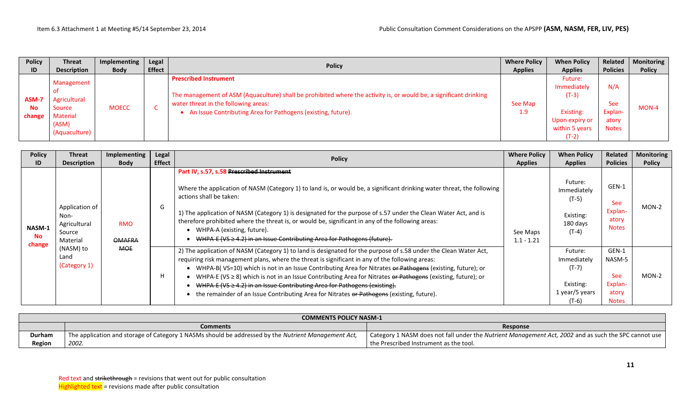| <b>Policy</b>                | <b>Threat</b>                                                              | Implementing | Legal         | <b>Policy</b>                                                                                                                                                                                                                                                | <b>Where Policy</b> | <b>When Policy</b>                                                                            | Related                                               | <b>Monitoring</b> |
|------------------------------|----------------------------------------------------------------------------|--------------|---------------|--------------------------------------------------------------------------------------------------------------------------------------------------------------------------------------------------------------------------------------------------------------|---------------------|-----------------------------------------------------------------------------------------------|-------------------------------------------------------|-------------------|
| ID                           | <b>Description</b>                                                         | <b>Body</b>  | <b>Effect</b> |                                                                                                                                                                                                                                                              | <b>Applies</b>      | <b>Applies</b>                                                                                | <b>Policies</b>                                       | <b>Policy</b>     |
| ASM-7<br><b>No</b><br>change | Management<br>Agricultural<br>Source<br>Material<br>(ASM)<br>(Aquaculture) | <b>MOECC</b> |               | <b>Prescribed Instrument</b><br>The management of ASM (Aquaculture) shall be prohibited where the activity is, or would be, a significant drinking<br>water threat in the following areas:<br>• An Issue Contributing Area for Pathogens (existing, future). | See Map<br>1.9      | Future:<br>Immediately<br>$(T-3)$<br>Existing:<br>Upon expiry or<br>within 5 years<br>$(T-2)$ | N/A<br><b>See</b><br>Explan-<br>atory<br><b>Notes</b> | $MON-4$           |

| <b>Policy</b><br>ID                  | <b>Threat</b><br><b>Description</b>                                                               | Implementing<br>Body        | Legal<br><b>Effect</b> | <b>Policy</b>                                                                                                                                                                                                                                                                                                                                                                                                                                                                                                                                                                                                                       | <b>Where Policy</b>      | <b>When Policy</b>                                                          | Related<br><b>Policies</b>                                 | <b>Monitoring</b><br><b>Policy</b> |
|--------------------------------------|---------------------------------------------------------------------------------------------------|-----------------------------|------------------------|-------------------------------------------------------------------------------------------------------------------------------------------------------------------------------------------------------------------------------------------------------------------------------------------------------------------------------------------------------------------------------------------------------------------------------------------------------------------------------------------------------------------------------------------------------------------------------------------------------------------------------------|--------------------------|-----------------------------------------------------------------------------|------------------------------------------------------------|------------------------------------|
| <b>NASM-1</b><br><b>No</b><br>change | Application of<br>Non-<br>Agricultural<br>Source<br>Material<br>(NASM) to<br>Land<br>(Category 1) |                             |                        | Part IV, s.57, s.58 Prescribed Instrument<br>Where the application of NASM (Category 1) to land is, or would be, a significant drinking water threat, the following                                                                                                                                                                                                                                                                                                                                                                                                                                                                 | <b>Applies</b>           | <b>Applies</b><br>Future:<br>Immediately                                    | GEN-1                                                      |                                    |
|                                      |                                                                                                   | <b>RMO</b><br><b>OMAFRA</b> | G                      | actions shall be taken:<br>1) The application of NASM (Category 1) is designated for the purpose of s.57 under the Clean Water Act, and is<br>therefore prohibited where the threat is, or would be, significant in any of the following areas:<br>WHPA-A (existing, future).<br>WHPA-E (VS $\geq$ 4.2) in an Issue Contributing Area for Pathogens (future).                                                                                                                                                                                                                                                                       | See Maps<br>$1.1 - 1.21$ | $(T-5)$<br>Existing:<br>180 days<br>(T-4)                                   | See<br>Explan-<br>atory<br><b>Notes</b>                    | MON-2                              |
|                                      |                                                                                                   | <b>MOE</b>                  | н                      | 2) The application of NASM (Category 1) to land is designated for the purpose of s.58 under the Clean Water Act,<br>requiring risk management plans, where the threat is significant in any of the following areas:<br>WHPA-B(VS=10) which is not in an Issue Contributing Area for Nitrates or Pathogens (existing, future); or<br>WHPA-E (VS $\geq$ 8) which is not in an Issue Contributing Area for Nitrates or Pathogens (existing, future); or<br>WHPA-E (VS $\geq$ 4.2) in an Issue Contributing Area for Pathogens (existing).<br>the remainder of an Issue Contributing Area for Nitrates or Pathogens (existing, future). |                          | Future:<br>Immediately<br>$(T-7)$<br>Existing:<br>1 year/5 years<br>$(T-6)$ | GEN-1<br>NASM-5<br>See<br>Explan-<br>atory<br><b>Notes</b> | $MON-2$                            |

|        | <b>COMMENTS POLICY NASM-1</b>                                                                       |                                                                                                      |  |  |  |  |  |  |
|--------|-----------------------------------------------------------------------------------------------------|------------------------------------------------------------------------------------------------------|--|--|--|--|--|--|
|        | <b>Comments</b>                                                                                     | Response                                                                                             |  |  |  |  |  |  |
| Durham | The application and storage of Category 1 NASMs should be addressed by the Nutrient Management Act, | Category 1 NASM does not fall under the Nutrient Management Act, 2002 and as such the SPC cannot use |  |  |  |  |  |  |
| Region | 2002.                                                                                               | the Prescribed Instrument as the tool.                                                               |  |  |  |  |  |  |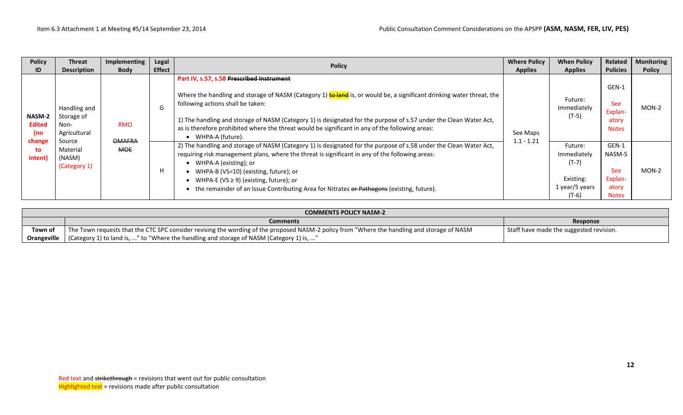| <b>Policy</b><br>ID            | <b>Threat</b><br><b>Description</b>                                                         | Implementing<br><b>Body</b> | Legal<br><b>Effect</b>                                                                                                                                                                                                                                                                                                                                                                                                                                        | <b>Policy</b>                                                                                                                                                                                                                                                                                                                                                                                                                            | <b>Where Policy</b><br><b>Applies</b> | <b>When Policy</b><br><b>Applies</b>                                        | Related<br><b>Policies</b>                                 | <b>Monitoring</b><br><b>Policy</b> |
|--------------------------------|---------------------------------------------------------------------------------------------|-----------------------------|---------------------------------------------------------------------------------------------------------------------------------------------------------------------------------------------------------------------------------------------------------------------------------------------------------------------------------------------------------------------------------------------------------------------------------------------------------------|------------------------------------------------------------------------------------------------------------------------------------------------------------------------------------------------------------------------------------------------------------------------------------------------------------------------------------------------------------------------------------------------------------------------------------------|---------------------------------------|-----------------------------------------------------------------------------|------------------------------------------------------------|------------------------------------|
| NASM-2<br><b>Edited</b><br>(no | Handling and<br>Storage of<br><b>RMO</b><br>Non-<br>Agricultural<br><b>OMAFRA</b><br>Source | G                           | Part IV, s.57, s.58 Prescribed Instrument<br>Where the handling and storage of NASM (Category 1) to land is, or would be, a significant drinking water threat, the<br>following actions shall be taken:<br>1) The handling and storage of NASM (Category 1) is designated for the purpose of s.57 under the Clean Water Act,<br>as is therefore prohibited where the threat would be significant in any of the following areas:<br>$\bullet$ WHPA-A (future). | See Maps<br>$1.1 - 1.21$                                                                                                                                                                                                                                                                                                                                                                                                                 | Future:<br>Immediately<br>$(T-5)$     | GEN-1<br><b>See</b><br>Explan-<br>atory<br><b>Notes</b>                     | $MON-2$                                                    |                                    |
| change<br>to<br>intent)        | Material<br>(NASM)<br>(Category 1)                                                          | <b>MOE</b>                  | H                                                                                                                                                                                                                                                                                                                                                                                                                                                             | 2) The handling and storage of NASM (Category 1) is designated for the purpose of s.58 under the Clean Water Act,<br>requiring risk management plans, where the threat is significant in any of the following areas:<br>• WHPA-A (existing); or<br>• WHPA-B (VS=10) (existing, future); or<br>• WHPA-E (VS $\geq$ 9) (existing, future); or<br>the remainder of an Issue Contributing Area for Nitrates or Pathogens (existing, future). |                                       | Future:<br>Immediately<br>$(T-7)$<br>Existing:<br>1 year/5 years<br>$(T-6)$ | GEN-1<br>NASM-5<br>See<br>Explan-<br>atory<br><b>Notes</b> | $MON-2$                            |

|             | <b>COMMENTS POLICY NASM-2</b>                                                                                                               |                                         |  |  |  |  |  |  |
|-------------|---------------------------------------------------------------------------------------------------------------------------------------------|-----------------------------------------|--|--|--|--|--|--|
|             | <b>Comments</b>                                                                                                                             | Response                                |  |  |  |  |  |  |
| Town of     | The Town requests that the CTC SPC consider revising the wording of the proposed NASM-2 policy from "Where the handling and storage of NASM | Staff have made the suggested revision. |  |  |  |  |  |  |
| Orangeville | (Category 1) to land is, " to "Where the handling and storage of NASM (Category 1) is, "                                                    |                                         |  |  |  |  |  |  |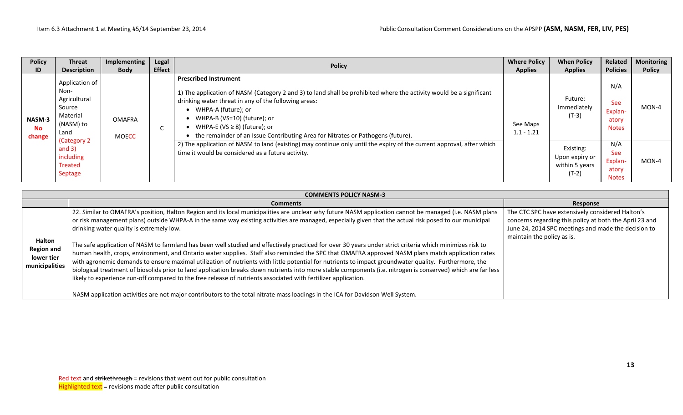| <b>Policy</b>                        | Threat                                                                            | <b>Implementing</b>           | Legal         | <b>Policy</b>                                                                                                                                                                                                                                                                                                                                                                                   | <b>Where Policy</b>      | <b>When Policy</b>                                       | Related                                               | <b>Monitoring</b> |
|--------------------------------------|-----------------------------------------------------------------------------------|-------------------------------|---------------|-------------------------------------------------------------------------------------------------------------------------------------------------------------------------------------------------------------------------------------------------------------------------------------------------------------------------------------------------------------------------------------------------|--------------------------|----------------------------------------------------------|-------------------------------------------------------|-------------------|
| ID                                   | <b>Description</b>                                                                | <b>Body</b>                   | <b>Effect</b> |                                                                                                                                                                                                                                                                                                                                                                                                 | <b>Applies</b>           | <b>Applies</b>                                           | <b>Policies</b>                                       | <b>Policy</b>     |
| <b>NASM-3</b><br><b>No</b><br>change | Application of<br>Non-<br>Agricultural<br>Source<br>Material<br>(NASM) to<br>Land | <b>OMAFRA</b><br><b>MOECC</b> | ◡             | <b>Prescribed Instrument</b><br>1) The application of NASM (Category 2 and 3) to land shall be prohibited where the activity would be a significant<br>drinking water threat in any of the following areas:<br>• WHPA-A (future); or<br>• WHPA-B (VS=10) (future); or<br>WHPA-E (VS $\geq$ 8) (future); or<br>• the remainder of an Issue Contributing Area for Nitrates or Pathogens (future). | See Maps<br>$1.1 - 1.21$ | Future:<br>Immediately<br>$(T-3)$                        | N/A<br>See<br>Explan-<br>atory<br><b>Notes</b>        | $MON-4$           |
|                                      | (Category 2<br>and $3)$<br>including<br>Treated<br>Septage                        |                               |               | 2) The application of NASM to land (existing) may continue only until the expiry of the current approval, after which<br>time it would be considered as a future activity.                                                                                                                                                                                                                      |                          | Existing:<br>Upon expiry or<br>within 5 years<br>$(T-2)$ | N/A<br><b>See</b><br>Explan-<br>atory<br><b>Notes</b> | MON-4             |

|                                                             | <b>COMMENTS POLICY NASM-3</b>                                                                                                                                                                                                                                                                                                                                                                                                                                                                                                                                                                                                                                                                                                                                                                                                                                                                                                                                                                                                                                                                                              |                                                                                                                                                                                                  |  |  |  |  |  |  |  |  |
|-------------------------------------------------------------|----------------------------------------------------------------------------------------------------------------------------------------------------------------------------------------------------------------------------------------------------------------------------------------------------------------------------------------------------------------------------------------------------------------------------------------------------------------------------------------------------------------------------------------------------------------------------------------------------------------------------------------------------------------------------------------------------------------------------------------------------------------------------------------------------------------------------------------------------------------------------------------------------------------------------------------------------------------------------------------------------------------------------------------------------------------------------------------------------------------------------|--------------------------------------------------------------------------------------------------------------------------------------------------------------------------------------------------|--|--|--|--|--|--|--|--|
|                                                             | <b>Comments</b>                                                                                                                                                                                                                                                                                                                                                                                                                                                                                                                                                                                                                                                                                                                                                                                                                                                                                                                                                                                                                                                                                                            | Response                                                                                                                                                                                         |  |  |  |  |  |  |  |  |
| Halton<br><b>Region and</b><br>lower tier<br>municipalities | 22. Similar to OMAFRA's position, Halton Region and its local municipalities are unclear why future NASM application cannot be managed (i.e. NASM plans<br>or risk management plans) outside WHPA-A in the same way existing activities are managed, especially given that the actual risk posed to our municipal<br>drinking water quality is extremely low.<br>The safe application of NASM to farmland has been well studied and effectively practiced for over 30 years under strict criteria which minimizes risk to<br>human health, crops, environment, and Ontario water supplies. Staff also reminded the SPC that OMAFRA approved NASM plans match application rates<br>with agronomic demands to ensure maximal utilization of nutrients with little potential for nutrients to impact groundwater quality. Furthermore, the<br>biological treatment of biosolids prior to land application breaks down nutrients into more stable components (i.e. nitrogen is conserved) which are far less<br>likely to experience run-off compared to the free release of nutrients associated with fertilizer application. | The CTC SPC have extensively considered Halton's<br>concerns regarding this policy at both the April 23 and<br>June 24, 2014 SPC meetings and made the decision to<br>maintain the policy as is. |  |  |  |  |  |  |  |  |
|                                                             | NASM application activities are not major contributors to the total nitrate mass loadings in the ICA for Davidson Well System.                                                                                                                                                                                                                                                                                                                                                                                                                                                                                                                                                                                                                                                                                                                                                                                                                                                                                                                                                                                             |                                                                                                                                                                                                  |  |  |  |  |  |  |  |  |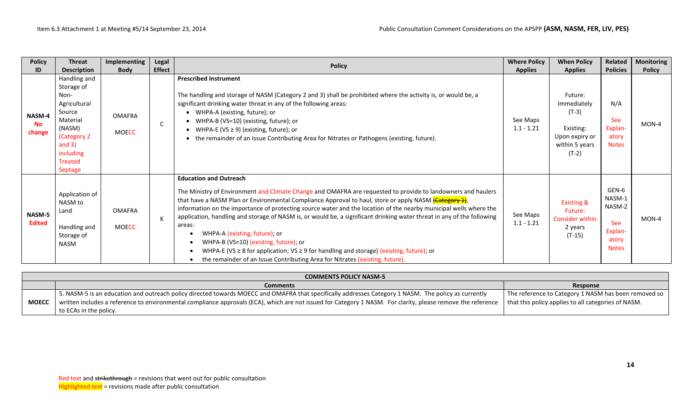| <b>Policy</b>                  | <b>Threat</b>                                                                                                                                     | <b>Implementing</b>           | Legal         |                                                                                                                                                                                                                                                                                                                                                                                                                                                                                                                                                                                                                                                                                                                                                                                | <b>Where Policy</b>      | <b>When Policy</b>                                                                            | Related                                                                     | <b>Monitoring</b> |
|--------------------------------|---------------------------------------------------------------------------------------------------------------------------------------------------|-------------------------------|---------------|--------------------------------------------------------------------------------------------------------------------------------------------------------------------------------------------------------------------------------------------------------------------------------------------------------------------------------------------------------------------------------------------------------------------------------------------------------------------------------------------------------------------------------------------------------------------------------------------------------------------------------------------------------------------------------------------------------------------------------------------------------------------------------|--------------------------|-----------------------------------------------------------------------------------------------|-----------------------------------------------------------------------------|-------------------|
| ID                             | <b>Description</b>                                                                                                                                | <b>Body</b>                   | <b>Effect</b> | <b>Policy</b>                                                                                                                                                                                                                                                                                                                                                                                                                                                                                                                                                                                                                                                                                                                                                                  | <b>Applies</b>           | <b>Applies</b>                                                                                | <b>Policies</b>                                                             | <b>Policy</b>     |
| NASM-4<br>No<br>change         | Handling and<br>Storage of<br>Non-<br>Agricultural<br>Source<br>Material<br>(NASM)<br>(Category 2)<br>and $3)$<br>including<br>Treated<br>Septage | <b>OMAFRA</b><br><b>MOECC</b> | C             | <b>Prescribed Instrument</b><br>The handling and storage of NASM (Category 2 and 3) shall be prohibited where the activity is, or would be, a<br>significant drinking water threat in any of the following areas:<br>• WHPA-A (existing, future); or<br>WHPA-B (VS=10) (existing, future); or<br>$\bullet$<br>WHPA-E (VS $\geq$ 9) (existing, future); or<br>$\bullet$<br>the remainder of an Issue Contributing Area for Nitrates or Pathogens (existing, future).<br>$\bullet$                                                                                                                                                                                                                                                                                               | See Maps<br>$1.1 - 1.21$ | Future:<br>Immediately<br>$(T-3)$<br>Existing:<br>Upon expiry or<br>within 5 years<br>$(T-2)$ | N/A<br>See<br>Explan-<br>atory<br><b>Notes</b>                              | $MON-4$           |
| <b>NASM-5</b><br><b>Edited</b> | Application of<br>NASM to<br>Land<br>Handling and<br>Storage of<br><b>NASM</b>                                                                    | <b>OMAFRA</b><br><b>MOECC</b> | К             | <b>Education and Outreach</b><br>The Ministry of Environment and Climate Change and OMAFRA are requested to provide to landowners and haulers<br>that have a NASM Plan or Environmental Compliance Approval to haul, store or apply NASM (Category 1),<br>information on the importance of protecting source water and the location of the nearby municipal wells where the<br>application, handling and storage of NASM is, or would be, a significant drinking water threat in any of the following<br>areas:<br>WHPA-A (existing, future); or<br>WHPA-B (VS=10) (existing, future); or<br>WHPA-E (VS $\geq$ 8 for application; VS $\geq$ 9 for handling and storage) (existing, future); or<br>the remainder of an Issue Contributing Area for Nitrates (existing, future). | See Maps<br>$1.1 - 1.21$ | <b>Existing &amp;</b><br>Future:<br>Consider within<br>2 years<br>$(T-15)$                    | GEN-6<br>NASM-1<br>NASM-2<br><b>See</b><br>Explan-<br>atory<br><b>Notes</b> | $MON-4$           |

|              | <b>COMMENTS POLICY NASM-5</b>                                                                                                                                |                                                      |  |  |  |  |  |  |  |
|--------------|--------------------------------------------------------------------------------------------------------------------------------------------------------------|------------------------------------------------------|--|--|--|--|--|--|--|
|              | <b>Comments</b>                                                                                                                                              | Response                                             |  |  |  |  |  |  |  |
| <b>MOECC</b> | 5. NASM-5 is an education and outreach policy directed towards MOECC and OMAFRA that specifically addresses Category 1 NASM. The policy as currently         | The reference to Category 1 NASM has been removed so |  |  |  |  |  |  |  |
|              | written includes a reference to environmental compliance approvals (ECA), which are not issued for Category 1 NASM. For clarity, please remove the reference | that this policy applies to all categories of NASM.  |  |  |  |  |  |  |  |
|              | to ECAs in the policy.                                                                                                                                       |                                                      |  |  |  |  |  |  |  |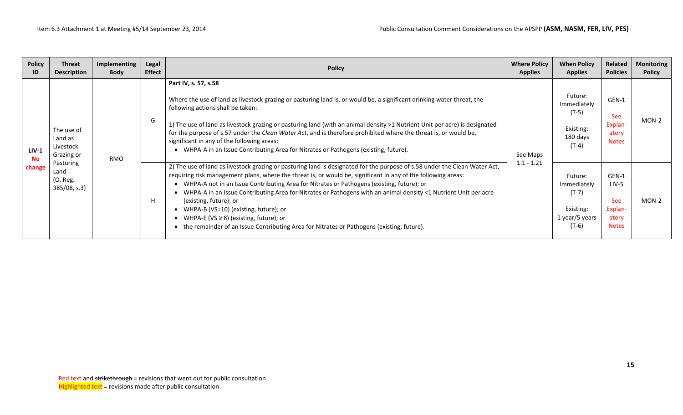| <b>Policy</b><br>ID            | <b>Threat</b><br><b>Description</b>                           | Implementing<br><b>Body</b> | Legal<br><b>Effect</b> | <b>Policy</b>                                                                                                                                                                                                                                                                                                                                                                                                                                                                                                                                                                                                                                                                        | <b>Where Policy</b><br><b>Applies</b> | <b>When Policy</b><br><b>Applies</b>                                        | Related<br><b>Policies</b>                                       | <b>Monitoring</b><br><b>Policy</b> |
|--------------------------------|---------------------------------------------------------------|-----------------------------|------------------------|--------------------------------------------------------------------------------------------------------------------------------------------------------------------------------------------------------------------------------------------------------------------------------------------------------------------------------------------------------------------------------------------------------------------------------------------------------------------------------------------------------------------------------------------------------------------------------------------------------------------------------------------------------------------------------------|---------------------------------------|-----------------------------------------------------------------------------|------------------------------------------------------------------|------------------------------------|
| $LIV-1$<br><b>No</b><br>change | The use of<br>Land as<br>Livestock<br>Grazing or<br>Pasturing | RMO                         | G                      | Part IV, s. 57, s.58<br>Where the use of land as livestock grazing or pasturing land is, or would be, a significant drinking water threat, the<br>following actions shall be taken:<br>1) The use of land as livestock grazing or pasturing land (with an animal density >1 Nutrient Unit per acre) is designated<br>for the purpose of s.57 under the Clean Water Act, and is therefore prohibited where the threat is, or would be,<br>significant in any of the following areas:<br>• WHPA-A in an Issue Contributing Area for Nitrates or Pathogens (existing, future).                                                                                                          | See Maps<br>$1.1 - 1.21$              | Future:<br>Immediately<br>$(T-5)$<br>Existing:<br>180 days<br>(T-4)         | GEN-1<br><b>See</b><br>Explan-<br>atory<br><b>Notes</b>          | $MON-2$                            |
|                                | Land<br>(O. Reg.<br>385/08, s.3)                              |                             | H                      | 2) The use of land as livestock grazing or pasturing land is designated for the purpose of s.58 under the Clean Water Act,<br>requiring risk management plans, where the threat is, or would be, significant in any of the following areas:<br>• WHPA-A not in an Issue Contributing Area for Nitrates or Pathogens (existing, future); or<br>• WHPA-A in an Issue Contributing Area for Nitrates or Pathogens with an animal density <1 Nutrient Unit per acre<br>(existing, future); or<br>• WHPA-B (VS=10) (existing, future); or<br>• WHPA-E (VS $\geq$ 8) (existing, future); or<br>• the remainder of an Issue Contributing Area for Nitrates or Pathogens (existing, future). |                                       | Future:<br>Immediately<br>$(T-7)$<br>Existing:<br>1 year/5 years<br>$(T-6)$ | GEN-1<br>LIV-5<br><b>See</b><br>Explan-<br>atory<br><b>Notes</b> | $MON-2$                            |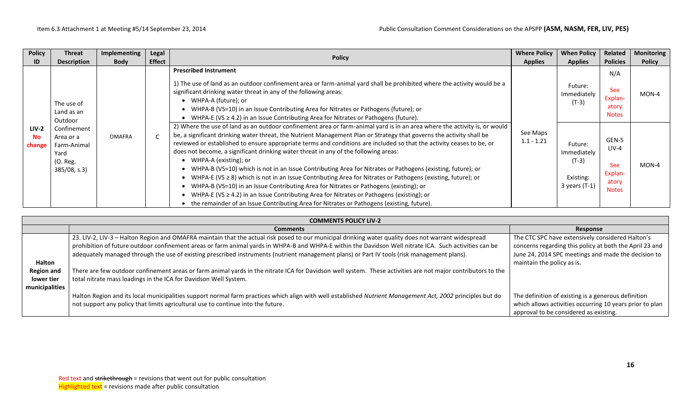| <b>Policy</b><br>ID            | <b>Threat</b><br><b>Description</b>                                            | Implementing<br><b>Body</b> | Legal<br><b>Effect</b> | <b>Policy</b>                                                                                                                                                                                                                                                                                                                                                                                                                                                                                                                                                                                                                                                                                                                                                                                                                                                                                                                                                                                                         | <b>Where Policy</b><br><b>Applies</b> | <b>When Policy</b><br><b>Applies</b>                              | Related<br><b>Policies</b>                                         | <b>Monitoring</b><br><b>Policy</b> |
|--------------------------------|--------------------------------------------------------------------------------|-----------------------------|------------------------|-----------------------------------------------------------------------------------------------------------------------------------------------------------------------------------------------------------------------------------------------------------------------------------------------------------------------------------------------------------------------------------------------------------------------------------------------------------------------------------------------------------------------------------------------------------------------------------------------------------------------------------------------------------------------------------------------------------------------------------------------------------------------------------------------------------------------------------------------------------------------------------------------------------------------------------------------------------------------------------------------------------------------|---------------------------------------|-------------------------------------------------------------------|--------------------------------------------------------------------|------------------------------------|
|                                | The use of<br>Land as an<br>Outdoor                                            |                             |                        | <b>Prescribed Instrument</b><br>1) The use of land as an outdoor confinement area or farm-animal yard shall be prohibited where the activity would be a<br>significant drinking water threat in any of the following areas:<br>WHPA-A (future); or<br>WHPA-B (VS=10) in an Issue Contributing Area for Nitrates or Pathogens (future); or<br>WHPA-E (VS $\geq$ 4.2) in an Issue Contributing Area for Nitrates or Pathogens (future).                                                                                                                                                                                                                                                                                                                                                                                                                                                                                                                                                                                 |                                       | Future:<br>Immediately<br>(T-3)                                   | N/A<br><b>See</b><br>Explan-<br>atory<br><b>Notes</b>              | MON-4                              |
| $LIV-2$<br><b>No</b><br>change | Confinement<br>Area or a<br>Farm-Animal<br>Yard<br>(O. Reg.<br>$385/08$ , s.3) | <b>OMAFRA</b>               |                        | 2) Where the use of land as an outdoor confinement area or farm-animal yard is in an area where the activity is, or would<br>be, a significant drinking water threat, the Nutrient Management Plan or Strategy that governs the activity shall be<br>reviewed or established to ensure appropriate terms and conditions are included so that the activity ceases to be, or<br>does not become, a significant drinking water threat in any of the following areas:<br>WHPA-A (existing); or<br>WHPA-B (VS=10) which is not in an Issue Contributing Area for Nitrates or Pathogens (existing, future); or<br>WHPA-E (VS $\geq$ 8) which is not in an Issue Contributing Area for Nitrates or Pathogens (existing, future); or<br>WHPA-B (VS=10) in an Issue Contributing Area for Nitrates or Pathogens (existing); or<br>WHPA-E (VS $\geq$ 4.2) in an Issue Contributing Area for Nitrates or Pathogens (existing); or<br>• the remainder of an Issue Contributing Area for Nitrates or Pathogens (existing, future). | See Maps<br>$1.1 - 1.21$              | Future:<br>Immediately<br>$(T-3)$<br>Existing:<br>3 years $(T-1)$ | GEN-5<br>$LIV-4$<br><b>See</b><br>Explan-<br>atory<br><b>Notes</b> | MON-4                              |

|                                    | <b>COMMENTS POLICY LIV-2</b>                                                                                                                                                                                                                                                                                                                                                                                                                                                                                                                                                                                                        |                                                                                                                                                                                                  |
|------------------------------------|-------------------------------------------------------------------------------------------------------------------------------------------------------------------------------------------------------------------------------------------------------------------------------------------------------------------------------------------------------------------------------------------------------------------------------------------------------------------------------------------------------------------------------------------------------------------------------------------------------------------------------------|--------------------------------------------------------------------------------------------------------------------------------------------------------------------------------------------------|
|                                    | <b>Comments</b>                                                                                                                                                                                                                                                                                                                                                                                                                                                                                                                                                                                                                     | Response                                                                                                                                                                                         |
| <b>Halton</b><br><b>Region and</b> | 23. LIV-2, LIV-2, LIV-3 - Halton Region and OMAFRA maintain that the actual risk posed to our municipal drinking water quality does not warrant widespread<br>prohibition of future outdoor confinement areas or farm animal yards in WHPA-B and WHPA-E within the Davidson Well nitrate ICA. Such activities can be<br>adequately managed through the use of existing prescribed instruments (nutrient management plans) or Part IV tools (risk management plans).<br>There are few outdoor confinement areas or farm animal yards in the nitrate ICA for Davidson well system. These activities are not major contributors to the | The CTC SPC have extensively considered Halton's<br>concerns regarding this policy at both the April 23 and<br>June 24, 2014 SPC meetings and made the decision to<br>maintain the policy as is. |
| lower tier<br>municipalities       | total nitrate mass loadings in the ICA for Davidson Well System.                                                                                                                                                                                                                                                                                                                                                                                                                                                                                                                                                                    |                                                                                                                                                                                                  |
|                                    | Halton Region and its local municipalities support normal farm practices which align with well established Nutrient Management Act, 2002 principles but do<br>not support any policy that limits agricultural use to continue into the future.                                                                                                                                                                                                                                                                                                                                                                                      | The definition of existing is a generous definition<br>which allows activities occurring 10 years prior to plan<br>approval to be considered as existing.                                        |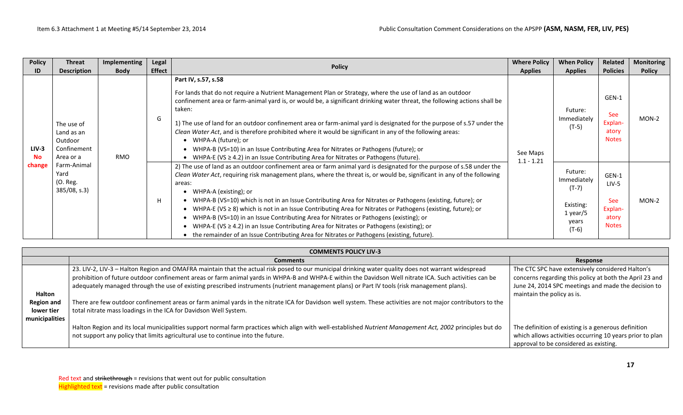| <b>Policy</b>                  | <b>Threat</b>                                                   | Implementing | Legal         | <b>Policy</b>                                                                                                                                                                                                                                                                                                                                                                                                                                                                                                                                                                                                                                                                                                                                                                                                  | <b>Where Policy</b>      | <b>When Policy</b>                                                               | <b>Related</b>                                                     | <b>Monitoring</b> |
|--------------------------------|-----------------------------------------------------------------|--------------|---------------|----------------------------------------------------------------------------------------------------------------------------------------------------------------------------------------------------------------------------------------------------------------------------------------------------------------------------------------------------------------------------------------------------------------------------------------------------------------------------------------------------------------------------------------------------------------------------------------------------------------------------------------------------------------------------------------------------------------------------------------------------------------------------------------------------------------|--------------------------|----------------------------------------------------------------------------------|--------------------------------------------------------------------|-------------------|
| ID                             | <b>Description</b>                                              | <b>Body</b>  | <b>Effect</b> |                                                                                                                                                                                                                                                                                                                                                                                                                                                                                                                                                                                                                                                                                                                                                                                                                | <b>Applies</b>           | <b>Applies</b>                                                                   | <b>Policies</b>                                                    | <b>Policy</b>     |
| $LIV-3$<br><b>No</b><br>change | The use of<br>Land as an<br>Outdoor<br>Confinement<br>Area or a | <b>RMO</b>   | G             | Part IV, s.57, s.58<br>For lands that do not require a Nutrient Management Plan or Strategy, where the use of land as an outdoor<br>confinement area or farm-animal yard is, or would be, a significant drinking water threat, the following actions shall be<br>taken:<br>1) The use of land for an outdoor confinement area or farm-animal yard is designated for the purpose of s.57 under the<br>Clean Water Act, and is therefore prohibited where it would be significant in any of the following areas:<br>WHPA-A (future); or<br>WHPA-B (VS=10) in an Issue Contributing Area for Nitrates or Pathogens (future); or<br>• WHPA-E (VS $\geq$ 4.2) in an Issue Contributing Area for Nitrates or Pathogens (future).                                                                                     | See Maps<br>$1.1 - 1.21$ | Future:<br>Immediately<br>$(T-5)$                                                | GEN-1<br><b>See</b><br>Explan-<br>atory<br><b>Notes</b>            | MON-2             |
|                                | Farm-Animal<br>Yard<br>(O. Reg.<br>$385/08$ , s.3)              |              | H             | 2) The use of land as an outdoor confinement area or farm animal yard is designated for the purpose of s.58 under the<br>Clean Water Act, requiring risk management plans, where the threat is, or would be, significant in any of the following<br>areas:<br>WHPA-A (existing); or<br>WHPA-B (VS=10) which is not in an Issue Contributing Area for Nitrates or Pathogens (existing, future); or<br>WHPA-E (VS $\geq$ 8) which is not in an Issue Contributing Area for Nitrates or Pathogens (existing, future); or<br>WHPA-B (VS=10) in an Issue Contributing Area for Nitrates or Pathogens (existing); or<br>WHPA-E (VS $\geq$ 4.2) in an Issue Contributing Area for Nitrates or Pathogens (existing); or<br>• the remainder of an Issue Contributing Area for Nitrates or Pathogens (existing, future). |                          | Future:<br>Immediately<br>$(T-7)$<br>Existing:<br>$1$ year/5<br>years<br>$(T-6)$ | GEN-1<br>$LIV-5$<br><b>See</b><br>Explan-<br>atory<br><b>Notes</b> | $MON-2$           |

|                                                   | <b>COMMENTS POLICY LIV-3</b>                                                                                                                                                                                                                                                                                                                                                                                                                                 |                                                                                                                                                                                                  |  |  |  |  |  |  |  |
|---------------------------------------------------|--------------------------------------------------------------------------------------------------------------------------------------------------------------------------------------------------------------------------------------------------------------------------------------------------------------------------------------------------------------------------------------------------------------------------------------------------------------|--------------------------------------------------------------------------------------------------------------------------------------------------------------------------------------------------|--|--|--|--|--|--|--|
|                                                   | <b>Comments</b>                                                                                                                                                                                                                                                                                                                                                                                                                                              | Response                                                                                                                                                                                         |  |  |  |  |  |  |  |
| <b>Halton</b>                                     | 23. LIV-2, LIV-3 - Halton Region and OMAFRA maintain that the actual risk posed to our municipal drinking water quality does not warrant widespread<br>prohibition of future outdoor confinement areas or farm animal yards in WHPA-B and WHPA-E within the Davidson Well nitrate ICA. Such activities can be<br>adequately managed through the use of existing prescribed instruments (nutrient management plans) or Part IV tools (risk management plans). | The CTC SPC have extensively considered Halton's<br>concerns regarding this policy at both the April 23 and<br>June 24, 2014 SPC meetings and made the decision to<br>maintain the policy as is. |  |  |  |  |  |  |  |
| <b>Region and</b><br>lower tier<br>municipalities | There are few outdoor confinement areas or farm animal yards in the nitrate ICA for Davidson well system. These activities are not major contributors to the<br>total nitrate mass loadings in the ICA for Davidson Well System.                                                                                                                                                                                                                             |                                                                                                                                                                                                  |  |  |  |  |  |  |  |
|                                                   | Halton Region and its local municipalities support normal farm practices which align with well-established Nutrient Management Act, 2002 principles but do<br>not support any policy that limits agricultural use to continue into the future.                                                                                                                                                                                                               | The definition of existing is a generous definition<br>which allows activities occurring 10 years prior to plan<br>approval to be considered as existing.                                        |  |  |  |  |  |  |  |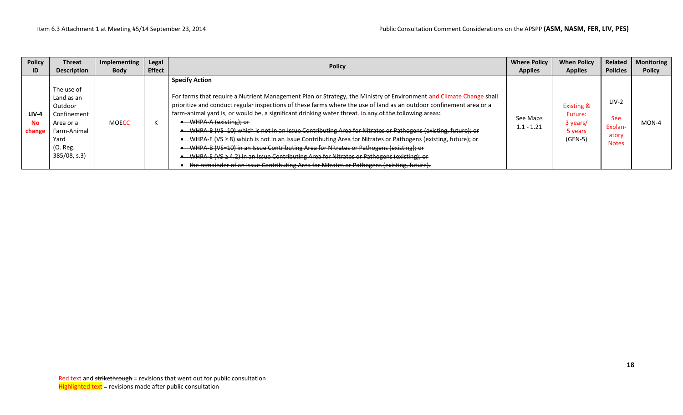| <b>Policy</b>                  | <b>Threat</b>                                                                                                        | Implementing | Legal         | <b>Policy</b>                                                                                                                                                                                                                                                                                                                                                                                                                                                                                                                                                                                                                                                                                                                                                                                                                                                                                                                    | <b>Where Policy</b>      | <b>When Policy</b>                                                   | Related                                                   | <b>Monitoring</b> |
|--------------------------------|----------------------------------------------------------------------------------------------------------------------|--------------|---------------|----------------------------------------------------------------------------------------------------------------------------------------------------------------------------------------------------------------------------------------------------------------------------------------------------------------------------------------------------------------------------------------------------------------------------------------------------------------------------------------------------------------------------------------------------------------------------------------------------------------------------------------------------------------------------------------------------------------------------------------------------------------------------------------------------------------------------------------------------------------------------------------------------------------------------------|--------------------------|----------------------------------------------------------------------|-----------------------------------------------------------|-------------------|
| ID                             | <b>Description</b>                                                                                                   | <b>Body</b>  | <b>Effect</b> |                                                                                                                                                                                                                                                                                                                                                                                                                                                                                                                                                                                                                                                                                                                                                                                                                                                                                                                                  | <b>Applies</b>           | <b>Applies</b>                                                       | <b>Policies</b>                                           | <b>Policy</b>     |
| $LIV-4$<br><b>No</b><br>change | The use of<br>Land as an<br>Outdoor<br>Confinement<br>Area or a<br>Farm-Animal<br>Yard<br>$(O.$ Reg.<br>385/08, s.3) | <b>MOECC</b> |               | <b>Specify Action</b><br>For farms that require a Nutrient Management Plan or Strategy, the Ministry of Environment and Climate Change shall<br>prioritize and conduct regular inspections of these farms where the use of land as an outdoor confinement area or a<br>farm-animal yard is, or would be, a significant drinking water threat. in any of the following areas:<br>• WHPA-A (existing); or<br>WHPA-B (VS=10) which is not in an Issue Contributing Area for Nitrates or Pathogens (existing, future); or<br>WHPA-E (VS $\geq$ 8) which is not in an Issue Contributing Area for Nitrates or Pathogens (existing, future); or<br>WHPA B (VS=10) in an Issue Contributing Area for Nitrates or Pathogens (existing); or<br>WHPA-E (VS $\geq$ 4.2) in an Issue Contributing Area for Nitrates or Pathogens (existing); or<br>the remainder of an Issue Contributing Area for Nitrates or Pathogens (existing, future). | See Maps<br>$1.1 - 1.21$ | <b>Existing &amp;</b><br>Future:<br>3 years/<br>5 years<br>$(GEN-5)$ | $LIV-2$<br><b>See</b><br>Explan-<br>atory<br><b>Notes</b> | MON-4             |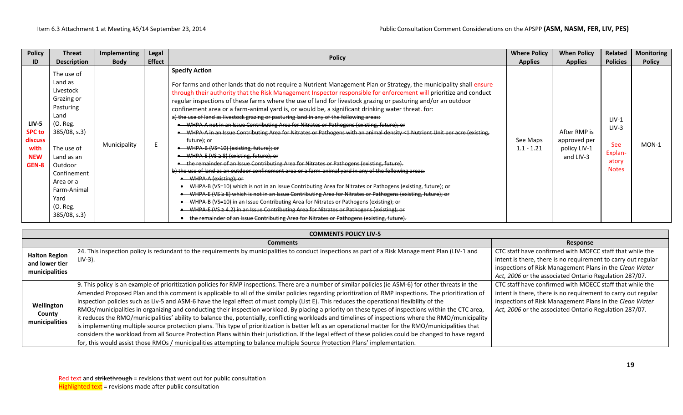| <b>Policy</b>                                                           | <b>Threat</b>                                                                                                                                                                                                             | Implementing | Legal         | <b>Policy</b>                                                                                                                                                                                                                                                                                                                                                                                                                                                                                                                                                                                                                                                                                                                                                                                                                                                                                                                                                                                                                                                                                                                                                                                                                                                                                                                                                                                                                                                                                                                                                                                                                                                                       | <b>Where Policy</b>      | <b>When Policy</b>                                        | <b>Related</b>                                                       | <b>Monitoring</b> |
|-------------------------------------------------------------------------|---------------------------------------------------------------------------------------------------------------------------------------------------------------------------------------------------------------------------|--------------|---------------|-------------------------------------------------------------------------------------------------------------------------------------------------------------------------------------------------------------------------------------------------------------------------------------------------------------------------------------------------------------------------------------------------------------------------------------------------------------------------------------------------------------------------------------------------------------------------------------------------------------------------------------------------------------------------------------------------------------------------------------------------------------------------------------------------------------------------------------------------------------------------------------------------------------------------------------------------------------------------------------------------------------------------------------------------------------------------------------------------------------------------------------------------------------------------------------------------------------------------------------------------------------------------------------------------------------------------------------------------------------------------------------------------------------------------------------------------------------------------------------------------------------------------------------------------------------------------------------------------------------------------------------------------------------------------------------|--------------------------|-----------------------------------------------------------|----------------------------------------------------------------------|-------------------|
| ID                                                                      | <b>Description</b>                                                                                                                                                                                                        | <b>Body</b>  | <b>Effect</b> |                                                                                                                                                                                                                                                                                                                                                                                                                                                                                                                                                                                                                                                                                                                                                                                                                                                                                                                                                                                                                                                                                                                                                                                                                                                                                                                                                                                                                                                                                                                                                                                                                                                                                     | <b>Applies</b>           | <b>Applies</b>                                            | <b>Policies</b>                                                      | <b>Policy</b>     |
| <b>LIV-5</b><br><b>SPC to</b><br>discuss<br>with<br><b>NEW</b><br>GEN-8 | The use of<br>Land as<br>Livestock<br>Grazing or<br>Pasturing<br>Land<br>(O. Reg.<br>385/08, s.3<br>The use of<br>Land as an<br>Outdoor<br>Confinement<br>Area or a<br>Farm-Animal<br>Yard<br>(O. Reg.<br>$385/08$ , s.3) | Municipality |               | <b>Specify Action</b><br>For farms and other lands that do not require a Nutrient Management Plan or Strategy, the municipality shall ensure<br>through their authority that the Risk Management Inspector responsible for enforcement will prioritize and conduct<br>regular inspections of these farms where the use of land for livestock grazing or pasturing and/or an outdoor<br>confinement area or a farm-animal yard is, or would be, a significant drinking water threat. for:<br>a) the use of land as livestock grazing or pasturing land in any of the following areas:<br>• WHPA-A not in an Issue Contributing Area for Nitrates or Pathogens (existing, future); or<br>• WHPA-A in an Issue Contributing Area for Nitrates or Pathogens with an animal density <1 Nutrient Unit per acre (existing,<br>future); or<br>• WHPA-B (VS=10) (existing, future); or<br>• WHPA-E (VS ≥ 8) (existing, future); or<br>• the remainder of an Issue Contributing Area for Nitrates or Pathogens (existing, future).<br>b) the use of land as an outdoor confinement area or a farm-animal yard in any of the following areas:<br>• WHPA-A (existing): or<br>WHPA B (VS=10) which is not in an Issue Contributing Area for Nitrates or Pathogens (existing, future); or<br>WHPA-E (VS $\geq$ 8) which is not in an Issue Contributing Area for Nitrates or Pathogens (existing, future); or<br>WHPA B (VS=10) in an Issue Contributing Area for Nitrates or Pathogens (existing); or<br>• WHPA-E (VS ≥ 4.2) in an Issue Contributing Area for Nitrates or Pathogens (existing); or<br>the remainder of an Issue Contributing Area for Nitrates or Pathogens (existing, future). | See Maps<br>$1.1 - 1.21$ | After RMP is<br>approved per<br>policy LIV-1<br>and LIV-3 | $LIV-1$<br>$LIV-3$<br><b>See</b><br>Explan-<br>atory<br><b>Notes</b> | MON-1             |

|                                                          | <b>COMMENTS POLICY LIV-5</b>                                                                                                                                                                                                                                                                                                                                                                                                                                                                                                                                                                                                                                                                                                                                                                                                                                                                                                                                                                                                                                                                                                                                                                                                        |                                                                                                                                                                                                                                                |  |  |  |  |  |  |  |  |
|----------------------------------------------------------|-------------------------------------------------------------------------------------------------------------------------------------------------------------------------------------------------------------------------------------------------------------------------------------------------------------------------------------------------------------------------------------------------------------------------------------------------------------------------------------------------------------------------------------------------------------------------------------------------------------------------------------------------------------------------------------------------------------------------------------------------------------------------------------------------------------------------------------------------------------------------------------------------------------------------------------------------------------------------------------------------------------------------------------------------------------------------------------------------------------------------------------------------------------------------------------------------------------------------------------|------------------------------------------------------------------------------------------------------------------------------------------------------------------------------------------------------------------------------------------------|--|--|--|--|--|--|--|--|
|                                                          | <b>Comments</b>                                                                                                                                                                                                                                                                                                                                                                                                                                                                                                                                                                                                                                                                                                                                                                                                                                                                                                                                                                                                                                                                                                                                                                                                                     | Response                                                                                                                                                                                                                                       |  |  |  |  |  |  |  |  |
| <b>Halton Region</b><br>and lower tier<br>municipalities | 24. This inspection policy is redundant to the requirements by municipalities to conduct inspections as part of a Risk Management Plan (LIV-1 and<br>$LIV-3$ ).                                                                                                                                                                                                                                                                                                                                                                                                                                                                                                                                                                                                                                                                                                                                                                                                                                                                                                                                                                                                                                                                     | CTC staff have confirmed with MOECC staff that while the<br>intent is there, there is no requirement to carry out regular<br>inspections of Risk Management Plans in the Clean Water<br>Act, 2006 or the associated Ontario Regulation 287/07. |  |  |  |  |  |  |  |  |
| Wellington<br>County<br>municipalities                   | 9. This policy is an example of prioritization policies for RMP inspections. There are a number of similar policies (ie ASM-6) for other threats in the<br>Amended Proposed Plan and this comment is applicable to all of the similar policies regarding prioritization of RMP inspections. The prioritization of<br>inspection policies such as Liv-5 and ASM-6 have the legal effect of must comply (List E). This reduces the operational flexibility of the<br>RMOs/municipalities in organizing and conducting their inspection workload. By placing a priority on these types of inspections within the CTC area,<br>it reduces the RMO/municipalities' ability to balance the, potentially, conflicting workloads and timelines of inspections where the RMO/municipality<br>is implementing multiple source protection plans. This type of prioritization is better left as an operational matter for the RMO/municipalities that<br>considers the workload from all Source Protection Plans within their jurisdiction. If the legal effect of these policies could be changed to have regard<br>for, this would assist those RMOs / municipalities attempting to balance multiple Source Protection Plans' implementation. | CTC staff have confirmed with MOECC staff that while the<br>intent is there, there is no requirement to carry out regular<br>inspections of Risk Management Plans in the Clean Water<br>Act, 2006 or the associated Ontario Regulation 287/07. |  |  |  |  |  |  |  |  |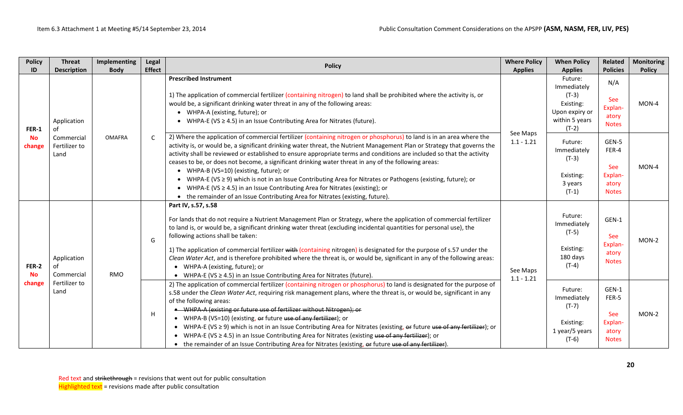| <b>Policy</b>                | <b>Threat</b>                                            | Implementing  | Legal         | <b>Policy</b>                                                                                                                                                                                                                                                                                                                                                                                                                                                                                                                                                                                                                                                                                                                                                                           | <b>Where Policy</b>      | <b>When Policy</b>                                                          | Related                                                                                                                                                                                                                                                                                                                                                                                                                                                                                                                                                                                                                                                                                                                                                                                                                      | <b>Monitoring</b>        |                                                                      |                                                                                                                                                                                                       |                                                                                                                                                         |  |                                                                                               |                                                |       |
|------------------------------|----------------------------------------------------------|---------------|---------------|-----------------------------------------------------------------------------------------------------------------------------------------------------------------------------------------------------------------------------------------------------------------------------------------------------------------------------------------------------------------------------------------------------------------------------------------------------------------------------------------------------------------------------------------------------------------------------------------------------------------------------------------------------------------------------------------------------------------------------------------------------------------------------------------|--------------------------|-----------------------------------------------------------------------------|------------------------------------------------------------------------------------------------------------------------------------------------------------------------------------------------------------------------------------------------------------------------------------------------------------------------------------------------------------------------------------------------------------------------------------------------------------------------------------------------------------------------------------------------------------------------------------------------------------------------------------------------------------------------------------------------------------------------------------------------------------------------------------------------------------------------------|--------------------------|----------------------------------------------------------------------|-------------------------------------------------------------------------------------------------------------------------------------------------------------------------------------------------------|---------------------------------------------------------------------------------------------------------------------------------------------------------|--|-----------------------------------------------------------------------------------------------|------------------------------------------------|-------|
| ID                           | <b>Description</b>                                       | <b>Body</b>   | <b>Effect</b> |                                                                                                                                                                                                                                                                                                                                                                                                                                                                                                                                                                                                                                                                                                                                                                                         | <b>Applies</b>           | <b>Applies</b>                                                              | <b>Policies</b>                                                                                                                                                                                                                                                                                                                                                                                                                                                                                                                                                                                                                                                                                                                                                                                                              | <b>Policy</b>            |                                                                      |                                                                                                                                                                                                       |                                                                                                                                                         |  |                                                                                               |                                                |       |
| FER-1<br><b>No</b><br>change | Application<br>0f<br>Commercial<br>Fertilizer to<br>Land | <b>OMAFRA</b> |               |                                                                                                                                                                                                                                                                                                                                                                                                                                                                                                                                                                                                                                                                                                                                                                                         |                          |                                                                             |                                                                                                                                                                                                                                                                                                                                                                                                                                                                                                                                                                                                                                                                                                                                                                                                                              |                          |                                                                      | would be, a significant drinking water threat in any of the following areas:<br>• WHPA-A (existing, future); or<br>• WHPA-E (VS $\geq$ 4.5) in an Issue Contributing Area for Nitrates (future).<br>C | <b>Prescribed Instrument</b><br>1) The application of commercial fertilizer (containing nitrogen) to land shall be prohibited where the activity is, or |  | Future:<br>Immediately<br>$(T-3)$<br>Existing:<br>Upon expiry or<br>within 5 years<br>$(T-2)$ | N/A<br>See<br>Explan-<br>atory<br><b>Notes</b> | MON-4 |
|                              |                                                          |               |               |                                                                                                                                                                                                                                                                                                                                                                                                                                                                                                                                                                                                                                                                                                                                                                                         |                          |                                                                             | 2) Where the application of commercial fertilizer (containing nitrogen or phosphorus) to land is in an area where the<br>activity is, or would be, a significant drinking water threat, the Nutrient Management Plan or Strategy that governs the<br>activity shall be reviewed or established to ensure appropriate terms and conditions are included so that the activity<br>ceases to be, or does not become, a significant drinking water threat in any of the following areas:<br>• WHPA-B (VS=10) (existing, future); or<br>• WHPA-E (VS $\geq$ 9) which is not in an Issue Contributing Area for Nitrates or Pathogens (existing, future); or<br>• WHPA-E (VS $\geq$ 4.5) in an Issue Contributing Area for Nitrates (existing); or<br>• the remainder of an Issue Contributing Area for Nitrates (existing, future). | See Maps<br>$1.1 - 1.21$ | Future:<br>Immediately<br>$(T-3)$<br>Existing:<br>3 years<br>$(T-1)$ | GEN-5<br>FER-4<br>See<br>Explan-<br>atory<br><b>Notes</b>                                                                                                                                             | MON-4                                                                                                                                                   |  |                                                                                               |                                                |       |
| FER-2<br><b>No</b><br>change | Application<br>0f<br>Commercial<br>Fertilizer to<br>Land | <b>RMO</b>    | G             | Part IV, s.57, s.58<br>For lands that do not require a Nutrient Management Plan or Strategy, where the application of commercial fertilizer<br>to land is, or would be, a significant drinking water threat (excluding incidental quantities for personal use), the<br>following actions shall be taken:<br>1) The application of commercial fertilizer with (containing nitrogen) is designated for the purpose of s.57 under the<br>Clean Water Act, and is therefore prohibited where the threat is, or would be, significant in any of the following areas:<br>• WHPA-A (existing, future); or<br>• WHPA-E (VS $\geq$ 4.5) in an Issue Contributing Area for Nitrates (future).                                                                                                     | See Maps<br>$1.1 - 1.21$ | Future:<br>Immediately<br>$(T-5)$<br>Existing:<br>180 days<br>$(T-4)$       | GEN-1<br>See<br>Explan-<br>atory<br><b>Notes</b>                                                                                                                                                                                                                                                                                                                                                                                                                                                                                                                                                                                                                                                                                                                                                                             | MON-2                    |                                                                      |                                                                                                                                                                                                       |                                                                                                                                                         |  |                                                                                               |                                                |       |
|                              |                                                          |               | H             | 2) The application of commercial fertilizer (containing nitrogen or phosphorus) to land is designated for the purpose of<br>s.58 under the Clean Water Act, requiring risk management plans, where the threat is, or would be, significant in any<br>of the following areas:<br>• WHPA-A (existing or future use of fertilizer without Nitrogen); or<br>• WHPA-B (VS=10) (existing, or future use of any fertilizer); or<br>• WHPA-E (VS $\geq$ 9) which is not in an Issue Contributing Area for Nitrates (existing, $\Theta$ future use of any fertilizer); or<br>• WHPA-E (VS $\geq$ 4.5) in an Issue Contributing Area for Nitrates (existing use of any fertilizer); or<br>• the remainder of an Issue Contributing Area for Nitrates (existing, or future use of any fertilizer). |                          | Future:<br>Immediately<br>$(T-7)$<br>Existing:<br>1 year/5 years<br>$(T-6)$ | GEN-1<br>FER-5<br><b>See</b><br>Explan-<br>atory<br><b>Notes</b>                                                                                                                                                                                                                                                                                                                                                                                                                                                                                                                                                                                                                                                                                                                                                             | MON-2                    |                                                                      |                                                                                                                                                                                                       |                                                                                                                                                         |  |                                                                                               |                                                |       |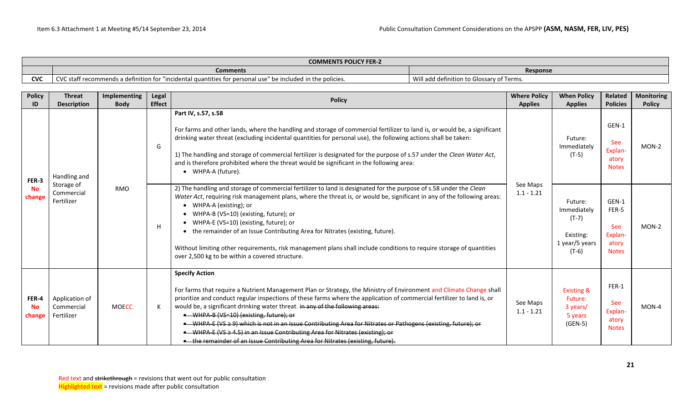|            | <b>COMMENTS POLICY FER-2</b>                                                                                                          |                                           |  |  |  |  |  |
|------------|---------------------------------------------------------------------------------------------------------------------------------------|-------------------------------------------|--|--|--|--|--|
|            | <b>Response</b><br>Comments                                                                                                           |                                           |  |  |  |  |  |
| <b>CVC</b> | $\sim$<br>C staff recommends a definition for "incidental quantities for personal use"<br>be included in the policies."<br><b>CVC</b> | Will add definition to Glossary of Terms. |  |  |  |  |  |

| <b>Policy</b><br>ID          | <b>Threat</b><br><b>Description</b>                    | Implementing<br><b>Body</b> | Legal<br><b>Effect</b>                                                                                                                                                                                                                                                                                                                                                                                                                                                                                              | <b>Policy</b>                                                                                                                                                                                                                                                                                                                                                                                                                                                                                                                                                                                                                                                                           | <b>Where Policy</b><br><b>Applies</b> | <b>When Policy</b><br><b>Applies</b>                                        | Related<br><b>Policies</b>                                | <b>Monitoring</b><br><b>Policy</b> |
|------------------------------|--------------------------------------------------------|-----------------------------|---------------------------------------------------------------------------------------------------------------------------------------------------------------------------------------------------------------------------------------------------------------------------------------------------------------------------------------------------------------------------------------------------------------------------------------------------------------------------------------------------------------------|-----------------------------------------------------------------------------------------------------------------------------------------------------------------------------------------------------------------------------------------------------------------------------------------------------------------------------------------------------------------------------------------------------------------------------------------------------------------------------------------------------------------------------------------------------------------------------------------------------------------------------------------------------------------------------------------|---------------------------------------|-----------------------------------------------------------------------------|-----------------------------------------------------------|------------------------------------|
| FER-3<br><b>No</b><br>change | Handling and<br>Storage of<br>Commercial<br>Fertilizer | <b>RMO</b>                  | Part IV, s.57, s.58<br>For farms and other lands, where the handling and storage of commercial fertilizer to land is, or would be, a significant<br>drinking water threat (excluding incidental quantities for personal use), the following actions shall be taken:<br>G<br>1) The handling and storage of commercial fertilizer is designated for the purpose of s.57 under the Clean Water Act,<br>and is therefore prohibited where the threat would be significant in the following area:<br>• WHPA-A (future). |                                                                                                                                                                                                                                                                                                                                                                                                                                                                                                                                                                                                                                                                                         | Future:<br>Immediately<br>$(T-5)$     | GEN-1<br>See<br>Explan-<br>atory<br><b>Notes</b>                            | MON-2                                                     |                                    |
|                              |                                                        |                             |                                                                                                                                                                                                                                                                                                                                                                                                                                                                                                                     | 2) The handling and storage of commercial fertilizer to land is designated for the purpose of s.58 under the Clean<br>Water Act, requiring risk management plans, where the threat is, or would be, significant in any of the following areas:<br>• WHPA-A (existing); or<br>• WHPA-B (VS=10) (existing, future); or<br>• WHPA-E (VS=10) (existing, future); or<br>• the remainder of an Issue Contributing Area for Nitrates (existing, future).<br>Without limiting other requirements, risk management plans shall include conditions to require storage of quantities<br>over 2,500 kg to be within a covered structure.                                                            | See Maps<br>$1.1 - 1.21$              | Future:<br>Immediately<br>$(T-7)$<br>Existing:<br>1 year/5 years<br>$(T-6)$ | GEN-1<br>FER-5<br>See<br>Explan-<br>atory<br><b>Notes</b> | MON-2                              |
| FER-4<br><b>No</b><br>change | Application of<br>Commercial<br>Fertilizer             | <b>MOECC</b>                | K                                                                                                                                                                                                                                                                                                                                                                                                                                                                                                                   | <b>Specify Action</b><br>For farms that require a Nutrient Management Plan or Strategy, the Ministry of Environment and Climate Change shall<br>prioritize and conduct regular inspections of these farms where the application of commercial fertilizer to land is, or<br>would be, a significant drinking water threat. in any of the following areas:<br>• WHPA-B (VS=10) (existing, future); or<br>• WHPA-E (VS ≥ 9) which is not in an Issue Contributing Area for Nitrates or Pathogens (existing, future); or<br>• WHPA-E (VS ≥ 4.5) in an Issue Contributing Area for Nitrates (existing); or<br>• the remainder of an Issue Contributing Area for Nitrates (existing, future). | See Maps<br>$1.1 - 1.21$              | <b>Existing &amp;</b><br>Future:<br>3 years/<br>5 years<br>$(GEN-5)$        | FER-1<br><b>See</b><br>Explan-<br>atory<br><b>Notes</b>   | MON-4                              |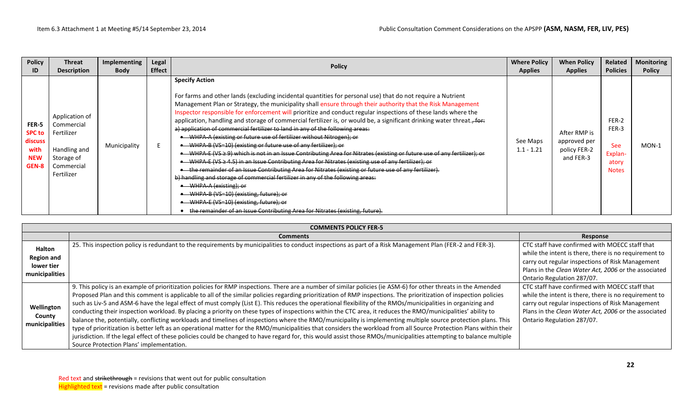| <b>Policy</b>                                                    | <b>Threat</b>                                                                                        | Implementing | Legal         | <b>Policy</b>                                                                                                                                                                                                                                                                                                                                                                                                                                                                                                                                                                                                                                                                                                                                                                                                                                                                                                                                                                                                                                                                                                                                                                                                                                                                                                                                               | <b>Where Policy</b>      | <b>When Policy</b>                                        | Related                                                          | <b>Monitoring</b> |
|------------------------------------------------------------------|------------------------------------------------------------------------------------------------------|--------------|---------------|-------------------------------------------------------------------------------------------------------------------------------------------------------------------------------------------------------------------------------------------------------------------------------------------------------------------------------------------------------------------------------------------------------------------------------------------------------------------------------------------------------------------------------------------------------------------------------------------------------------------------------------------------------------------------------------------------------------------------------------------------------------------------------------------------------------------------------------------------------------------------------------------------------------------------------------------------------------------------------------------------------------------------------------------------------------------------------------------------------------------------------------------------------------------------------------------------------------------------------------------------------------------------------------------------------------------------------------------------------------|--------------------------|-----------------------------------------------------------|------------------------------------------------------------------|-------------------|
| ID                                                               | <b>Description</b>                                                                                   | <b>Body</b>  | <b>Effect</b> |                                                                                                                                                                                                                                                                                                                                                                                                                                                                                                                                                                                                                                                                                                                                                                                                                                                                                                                                                                                                                                                                                                                                                                                                                                                                                                                                                             | <b>Applies</b>           | <b>Applies</b>                                            | <b>Policies</b>                                                  | <b>Policy</b>     |
| FER-5<br><b>SPC to</b><br>discuss<br>with<br><b>NEW</b><br>GEN-8 | Application of<br>Commercial<br>Fertilizer<br>Handling and<br>Storage of<br>Commercial<br>Fertilizer | Municipality |               | <b>Specify Action</b><br>For farms and other lands (excluding incidental quantities for personal use) that do not require a Nutrient<br>Management Plan or Strategy, the municipality shall ensure through their authority that the Risk Management<br>Inspector responsible for enforcement will prioritize and conduct regular inspections of these lands where the<br>application, handling and storage of commercial fertilizer is, or would be, a significant drinking water threat., for:<br>a) application of commercial fertilizer to land in any of the following areas:<br>• WHPA A (existing or future use of fertilizer without Nitrogen); or<br>• WHPA-B (VS-10) (existing or future use of any fertilizer); or<br>WHPA-E (VS $\geq$ 9) which is not in an Issue Contributing Area for Nitrates (existing or future use of any fertilizer); or<br>WHPA E (VS $\geq$ 4.5) in an Issue Contributing Area for Nitrates (existing use of any fertilizer); or<br>the remainder of an Issue Contributing Area for Nitrates (existing or future use of any fertilizer).<br>b) handling and storage of commercial fertilizer in any of the following areas:<br>WHPA-A (existing); or<br>WHPA B (VS=10) (existing, future); or<br>WHPA E (VS=10) (existing, future); or<br>the remainder of an Issue Contributing Area for Nitrates (existing, future). | See Maps<br>$1.1 - 1.21$ | After RMP is<br>approved per<br>policy FER-2<br>and FER-3 | FER-2<br>FER-3<br><b>See</b><br>Explan-<br>atory<br><b>Notes</b> | $MON-1$           |

|                                                                    | <b>COMMENTS POLICY FER-5</b>                                                                                                                                                                                                                                                                                                                                                                                                                                                                                                                                                                                                                                                                                                                                                                                                                                                                                                                                                                                                                                                                                                                                                                                                      |                                                                                                                                                                                                                                                   |  |  |  |  |  |  |  |  |
|--------------------------------------------------------------------|-----------------------------------------------------------------------------------------------------------------------------------------------------------------------------------------------------------------------------------------------------------------------------------------------------------------------------------------------------------------------------------------------------------------------------------------------------------------------------------------------------------------------------------------------------------------------------------------------------------------------------------------------------------------------------------------------------------------------------------------------------------------------------------------------------------------------------------------------------------------------------------------------------------------------------------------------------------------------------------------------------------------------------------------------------------------------------------------------------------------------------------------------------------------------------------------------------------------------------------|---------------------------------------------------------------------------------------------------------------------------------------------------------------------------------------------------------------------------------------------------|--|--|--|--|--|--|--|--|
|                                                                    | <b>Comments</b>                                                                                                                                                                                                                                                                                                                                                                                                                                                                                                                                                                                                                                                                                                                                                                                                                                                                                                                                                                                                                                                                                                                                                                                                                   | Response                                                                                                                                                                                                                                          |  |  |  |  |  |  |  |  |
| <b>Halton</b><br><b>Region and</b><br>lower tier<br>municipalities | 25. This inspection policy is redundant to the requirements by municipalities to conduct inspections as part of a Risk Management Plan (FER-2 and FER-3).                                                                                                                                                                                                                                                                                                                                                                                                                                                                                                                                                                                                                                                                                                                                                                                                                                                                                                                                                                                                                                                                         | CTC staff have confirmed with MOECC staff that<br>while the intent is there, there is no requirement to<br>carry out regular inspections of Risk Management<br>Plans in the Clean Water Act, 2006 or the associated<br>Ontario Regulation 287/07. |  |  |  |  |  |  |  |  |
| Wellington<br>County<br>municipalities                             | 9. This policy is an example of prioritization policies for RMP inspections. There are a number of similar policies (ie ASM-6) for other threats in the Amended<br>Proposed Plan and this comment is applicable to all of the similar policies regarding prioritization of RMP inspections. The prioritization of inspection policies<br>such as Liv-5 and ASM-6 have the legal effect of must comply (List E). This reduces the operational flexibility of the RMOs/municipalities in organizing and<br>conducting their inspection workload. By placing a priority on these types of inspections within the CTC area, it reduces the RMO/municipalities' ability to<br>balance the, potentially, conflicting workloads and timelines of inspections where the RMO/municipality is implementing multiple source protection plans. This<br>type of prioritization is better left as an operational matter for the RMO/municipalities that considers the workload from all Source Protection Plans within their<br>jurisdiction. If the legal effect of these policies could be changed to have regard for, this would assist those RMOs/municipalities attempting to balance multiple<br>Source Protection Plans' implementation. | CTC staff have confirmed with MOECC staff that<br>while the intent is there, there is no requirement to<br>carry out regular inspections of Risk Management<br>Plans in the Clean Water Act, 2006 or the associated<br>Ontario Regulation 287/07. |  |  |  |  |  |  |  |  |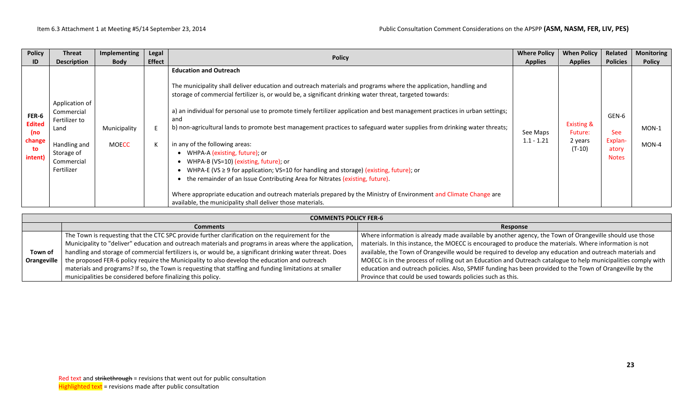| <b>Policy</b>                                            | <b>Threat</b>                                                                                                   | Implementing                 | Legal         | <b>Policy</b>                                                                                                                                                                                                                                                                                                                                                                                                                                                                                                                                                                                                                                                                                                                                                                                                                                                                                                                                                                                                    | <b>Where Policy</b>      | <b>When Policy</b>                                      | Related                                                 | <b>Monitoring</b> |
|----------------------------------------------------------|-----------------------------------------------------------------------------------------------------------------|------------------------------|---------------|------------------------------------------------------------------------------------------------------------------------------------------------------------------------------------------------------------------------------------------------------------------------------------------------------------------------------------------------------------------------------------------------------------------------------------------------------------------------------------------------------------------------------------------------------------------------------------------------------------------------------------------------------------------------------------------------------------------------------------------------------------------------------------------------------------------------------------------------------------------------------------------------------------------------------------------------------------------------------------------------------------------|--------------------------|---------------------------------------------------------|---------------------------------------------------------|-------------------|
| ID                                                       | <b>Description</b>                                                                                              | <b>Body</b>                  | <b>Effect</b> |                                                                                                                                                                                                                                                                                                                                                                                                                                                                                                                                                                                                                                                                                                                                                                                                                                                                                                                                                                                                                  | <b>Applies</b>           | <b>Applies</b>                                          | <b>Policies</b>                                         | <b>Policy</b>     |
| FER-6<br><b>Edited</b><br>(no<br>change<br>to<br>intent) | Application of<br>Commercial<br>Fertilizer to<br>Land<br>Handling and<br>Storage of<br>Commercial<br>Fertilizer | Municipality<br><b>MOECC</b> |               | <b>Education and Outreach</b><br>The municipality shall deliver education and outreach materials and programs where the application, handling and<br>storage of commercial fertilizer is, or would be, a significant drinking water threat, targeted towards:<br>a) an individual for personal use to promote timely fertilizer application and best management practices in urban settings;<br>and<br>b) non-agricultural lands to promote best management practices to safeguard water supplies from drinking water threats;<br>in any of the following areas:<br>• WHPA-A (existing, future); or<br>• WHPA-B (VS=10) (existing, future); or<br>WHPA-E (VS $\geq$ 9 for application; VS=10 for handling and storage) (existing, future); or<br>the remainder of an Issue Contributing Area for Nitrates (existing, future).<br>Where appropriate education and outreach materials prepared by the Ministry of Environment and Climate Change are<br>available, the municipality shall deliver those materials. | See Maps<br>$1.1 - 1.21$ | <b>Existing &amp;</b><br>Future:<br>2 years<br>$(T-10)$ | GEN-6<br><b>See</b><br>Explan-<br>atory<br><b>Notes</b> | $MON-1$<br>MON-4  |

|             | <b>COMMENTS POLICY FER-6</b>                                                                              |                                                                                                               |  |  |  |  |  |  |
|-------------|-----------------------------------------------------------------------------------------------------------|---------------------------------------------------------------------------------------------------------------|--|--|--|--|--|--|
|             | <b>Comments</b>                                                                                           | Response                                                                                                      |  |  |  |  |  |  |
|             | The Town is requesting that the CTC SPC provide further clarification on the requirement for the          | Where information is already made available by another agency, the Town of Orangeville should use those       |  |  |  |  |  |  |
|             | Municipality to "deliver" education and outreach materials and programs in areas where the application,   | materials. In this instance, the MOECC is encouraged to produce the materials. Where information is not       |  |  |  |  |  |  |
| Town of     | handling and storage of commercial fertilizers is, or would be, a significant drinking water threat. Does | available, the Town of Orangeville would be required to develop any education and outreach materials and      |  |  |  |  |  |  |
| Orangeville | the proposed FER-6 policy require the Municipality to also develop the education and outreach             | MOECC is in the process of rolling out an Education and Outreach catalogue to help municipalities comply with |  |  |  |  |  |  |
|             | materials and programs? If so, the Town is requesting that staffing and funding limitations at smaller    | education and outreach policies. Also, SPMIF funding has been provided to the Town of Orangeville by the      |  |  |  |  |  |  |
|             | municipalities be considered before finalizing this policy.                                               | Province that could be used towards policies such as this.                                                    |  |  |  |  |  |  |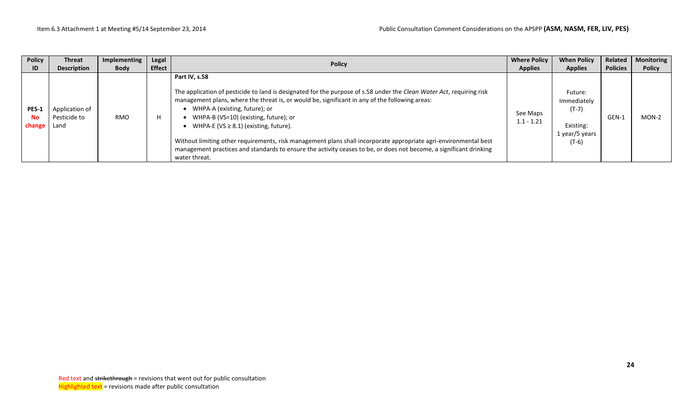| <b>Policy</b>                | <b>Threat</b>                          | Implementing | Legal         | <b>Policy</b>                                                                                                                                                                                                                                                                                                                                                                                                                                                                                                                                                                                                              | <b>Where Policy</b>      | <b>When Policy</b>                                                          | Related         | <b>Monitoring</b> |
|------------------------------|----------------------------------------|--------------|---------------|----------------------------------------------------------------------------------------------------------------------------------------------------------------------------------------------------------------------------------------------------------------------------------------------------------------------------------------------------------------------------------------------------------------------------------------------------------------------------------------------------------------------------------------------------------------------------------------------------------------------------|--------------------------|-----------------------------------------------------------------------------|-----------------|-------------------|
| ID.                          | <b>Description</b>                     | <b>Body</b>  | <b>Effect</b> |                                                                                                                                                                                                                                                                                                                                                                                                                                                                                                                                                                                                                            | <b>Applies</b>           | <b>Applies</b>                                                              | <b>Policies</b> | <b>Policy</b>     |
| <b>PES-1</b><br>No<br>change | Application of<br>Pesticide to<br>Land | <b>RMO</b>   |               | Part IV, s.58<br>The application of pesticide to land is designated for the purpose of s.58 under the Clean Water Act, requiring risk<br>management plans, where the threat is, or would be, significant in any of the following areas:<br>WHPA-A (existing, future); or<br>WHPA-B (VS=10) (existing, future); or<br>WHPA-E (VS $\geq$ 8.1) (existing, future).<br>Without limiting other requirements, risk management plans shall incorporate appropriate agri-environmental best<br>management practices and standards to ensure the activity ceases to be, or does not become, a significant drinking<br>water threat. | See Maps<br>$1.1 - 1.21$ | Future:<br>Immediately<br>$(T-7)$<br>Existing:<br>1 year/5 years<br>$(T-6)$ | GEN-1           | MON-2             |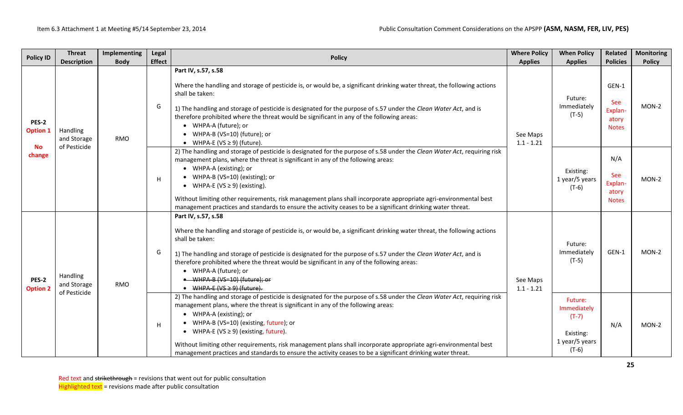| <b>Policy ID</b>                                | <b>Threat</b><br><b>Description</b>            | Implementing<br><b>Body</b> | Legal<br><b>Effect</b> | <b>Policy</b>                                                                                                                                                                                                                                                                                                                                                                                                                                                                                                                                                       | <b>Where Policy</b>                        | <b>When Policy</b><br><b>Applies</b>                                        | Related<br><b>Policies</b>                       | <b>Monitoring</b><br><b>Policy</b> |
|-------------------------------------------------|------------------------------------------------|-----------------------------|------------------------|---------------------------------------------------------------------------------------------------------------------------------------------------------------------------------------------------------------------------------------------------------------------------------------------------------------------------------------------------------------------------------------------------------------------------------------------------------------------------------------------------------------------------------------------------------------------|--------------------------------------------|-----------------------------------------------------------------------------|--------------------------------------------------|------------------------------------|
| PES-2<br><b>Option 1</b><br><b>No</b><br>change | Handling<br>and Storage<br>of Pesticide        | RMO                         | G                      | Part IV, s.57, s.58<br>Where the handling and storage of pesticide is, or would be, a significant drinking water threat, the following actions<br>shall be taken:<br>1) The handling and storage of pesticide is designated for the purpose of s.57 under the Clean Water Act, and is<br>therefore prohibited where the threat would be significant in any of the following areas:<br>• WHPA-A (future); or<br>• WHPA-B (VS=10) (future); or<br>• WHPA-E (VS $\geq$ 9) (future).                                                                                    | <b>Applies</b><br>See Maps<br>$1.1 - 1.21$ | Future:<br>Immediately<br>$(T-5)$                                           | GEN-1<br>See<br>Explan-<br>atory<br><b>Notes</b> | $MON-2$                            |
|                                                 |                                                |                             | H                      | 2) The handling and storage of pesticide is designated for the purpose of s.58 under the Clean Water Act, requiring risk<br>management plans, where the threat is significant in any of the following areas:<br>• WHPA-A (existing); or<br>• WHPA-B (VS=10) (existing); or<br>• WHPA-E ( $VS \ge 9$ ) (existing).<br>Without limiting other requirements, risk management plans shall incorporate appropriate agri-environmental best<br>management practices and standards to ensure the activity ceases to be a significant drinking water threat.                |                                            | Existing:<br>1 year/5 years<br>$(T-6)$                                      | N/A<br>See<br>Explan-<br>atory<br><b>Notes</b>   | MON-2                              |
| PES-2<br><b>Option 2</b>                        | <b>Handling</b><br>and Storage<br>of Pesticide | G<br>RMO                    |                        | Part IV, s.57, s.58<br>Where the handling and storage of pesticide is, or would be, a significant drinking water threat, the following actions<br>shall be taken:<br>1) The handling and storage of pesticide is designated for the purpose of s.57 under the Clean Water Act, and is<br>therefore prohibited where the threat would be significant in any of the following areas:<br>• WHPA-A (future); or<br>• WHPA-B (VS=10) (future); or<br>$\bullet$ WHPA-E (VS $\geq$ 9) (future).                                                                            | See Maps<br>$1.1 - 1.21$                   | Future:<br>Immediately<br>$(T-5)$                                           | GEN-1                                            | $MON-2$                            |
|                                                 |                                                |                             | н                      | 2) The handling and storage of pesticide is designated for the purpose of s.58 under the Clean Water Act, requiring risk<br>management plans, where the threat is significant in any of the following areas:<br>• WHPA-A (existing); or<br>• WHPA-B (VS=10) (existing, future); or<br>• WHPA-E (VS $\geq$ 9) (existing, future).<br>Without limiting other requirements, risk management plans shall incorporate appropriate agri-environmental best<br>management practices and standards to ensure the activity ceases to be a significant drinking water threat. |                                            | Future:<br>Immediately<br>$(T-7)$<br>Existing:<br>1 year/5 years<br>$(T-6)$ | N/A                                              | MON-2                              |